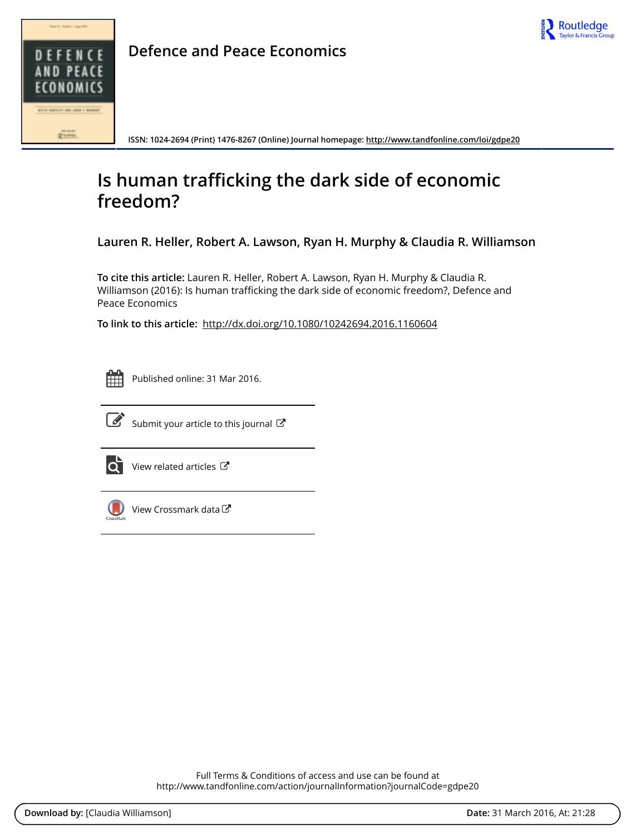

**Defence and Peace Economics**

**ISSN: 1024-2694 (Print) 1476-8267 (Online) Journal homepage: http://www.tandfonline.com/loi/gdpe20**

# **Is human trafficking the dark side of economic freedom?**

**Lauren R. Heller, Robert A. Lawson, Ryan H. Murphy & Claudia R. Williamson**

**To cite this article:** Lauren R. Heller, Robert A. Lawson, Ryan H. Murphy & Claudia R. Williamson (2016): Is human trafficking the dark side of economic freedom?, Defence and Peace Economics

**To link to this article:** http://dx.doi.org/10.1080/10242694.2016.1160604



Published online: 31 Mar 2016.



 $\overrightarrow{S}$  Submit your article to this journal  $\overrightarrow{S}$ 



 $\overrightarrow{Q}$  View related articles  $\overrightarrow{C}$ 



View Crossmark data<sup>で</sup>

Full Terms & Conditions of access and use can be found at http://www.tandfonline.com/action/journalInformation?journalCode=gdpe20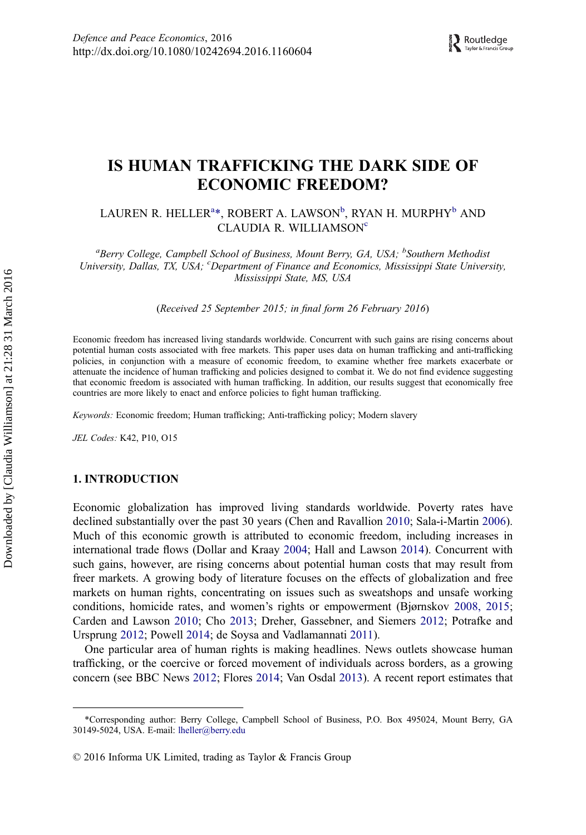# IS HUMAN TRAFFICKING THE DARK SIDE OF ECONOMIC FREEDOM?

LAUREN R. HELLER $^{a_\ast}$ , ROBERT A. LAWSON $^{\rm b}$ , RYAN H. MURPHY $^{\rm b}$  AND CLAUDIA R. WILLIAMSON<sup>e</sup>

<sup>a</sup>Berry College, Campbell School of Business, Mount Berry, GA, USA; <sup>b</sup>Southern Methodisi University, Dallas, TX, USA; <sup>c</sup>Department of Finance and Economics, Mississippi State University, Mississippi State, MS, USA

(Received 25 September 2015; in final form 26 February 2016)

Economic freedom has increased living standards worldwide. Concurrent with such gains are rising concerns about potential human costs associated with free markets. This paper uses data on human trafficking and anti-trafficking policies, in conjunction with a measure of economic freedom, to examine whether free markets exacerbate or attenuate the incidence of human trafficking and policies designed to combat it. We do not find evidence suggesting that economic freedom is associated with human trafficking. In addition, our results suggest that economically free countries are more likely to enact and enforce policies to fight human trafficking.

Keywords: Economic freedom; Human trafficking; Anti-trafficking policy; Modern slavery

JEL Codes: K42, P10, O15

#### 1. INTRODUCTION

Economic globalization has improved living standards worldwide. Poverty rates have declined substantially over the past 30 years (Chen and Ravallion 2010; Sala-i-Martin 2006). Much of this economic growth is attributed to economic freedom, including increases in international trade flows (Dollar and Kraay 2004; Hall and Lawson 2014). Concurrent with such gains, however, are rising concerns about potential human costs that may result from freer markets. A growing body of literature focuses on the effects of globalization and free markets on human rights, concentrating on issues such as sweatshops and unsafe working conditions, homicide rates, and women's rights or empowerment (Bjørnskov 2008, 2015; Carden and Lawson 2010; Cho 2013; Dreher, Gassebner, and Siemers 2012; Potrafke and Ursprung 2012; Powell 2014; de Soysa and Vadlamannati 2011).

One particular area of human rights is making headlines. News outlets showcase human trafficking, or the coercive or forced movement of individuals across borders, as a growing concern (see BBC News 2012; Flores 2014; Van Osdal 2013). A recent report estimates that

<sup>\*</sup>Corresponding author: Berry College, Campbell School of Business, P.O. Box 495024, Mount Berry, GA 30149-5024, USA. E-mail: lheller@berry.edu

<sup>© 2016</sup> Informa UK Limited, trading as Taylor & Francis Group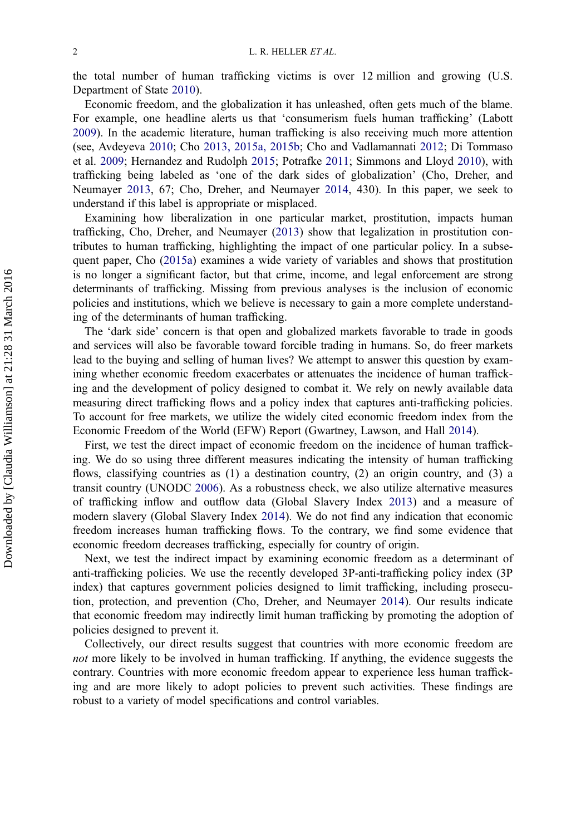the total number of human trafficking victims is over 12 million and growing (U.S. Department of State 2010).

Economic freedom, and the globalization it has unleashed, often gets much of the blame. For example, one headline alerts us that 'consumerism fuels human trafficking' (Labott 2009). In the academic literature, human trafficking is also receiving much more attention (see, Avdeyeva 2010; Cho 2013, 2015a, 2015b; Cho and Vadlamannati 2012; Di Tommaso et al. 2009; Hernandez and Rudolph 2015; Potrafke 2011; Simmons and Lloyd 2010), with trafficking being labeled as 'one of the dark sides of globalization' (Cho, Dreher, and Neumayer 2013, 67; Cho, Dreher, and Neumayer 2014, 430). In this paper, we seek to understand if this label is appropriate or misplaced.

Examining how liberalization in one particular market, prostitution, impacts human trafficking, Cho, Dreher, and Neumayer (2013) show that legalization in prostitution contributes to human trafficking, highlighting the impact of one particular policy. In a subsequent paper, Cho (2015a) examines a wide variety of variables and shows that prostitution is no longer a significant factor, but that crime, income, and legal enforcement are strong determinants of trafficking. Missing from previous analyses is the inclusion of economic policies and institutions, which we believe is necessary to gain a more complete understanding of the determinants of human trafficking.

The 'dark side' concern is that open and globalized markets favorable to trade in goods and services will also be favorable toward forcible trading in humans. So, do freer markets lead to the buying and selling of human lives? We attempt to answer this question by examining whether economic freedom exacerbates or attenuates the incidence of human trafficking and the development of policy designed to combat it. We rely on newly available data measuring direct trafficking flows and a policy index that captures anti-trafficking policies. To account for free markets, we utilize the widely cited economic freedom index from the Economic Freedom of the World (EFW) Report (Gwartney, Lawson, and Hall 2014).

First, we test the direct impact of economic freedom on the incidence of human trafficking. We do so using three different measures indicating the intensity of human trafficking flows, classifying countries as (1) a destination country, (2) an origin country, and (3) a transit country (UNODC 2006). As a robustness check, we also utilize alternative measures of trafficking inflow and outflow data (Global Slavery Index 2013) and a measure of modern slavery (Global Slavery Index 2014). We do not find any indication that economic freedom increases human trafficking flows. To the contrary, we find some evidence that economic freedom decreases trafficking, especially for country of origin.

Next, we test the indirect impact by examining economic freedom as a determinant of anti-trafficking policies. We use the recently developed 3P-anti-trafficking policy index (3P index) that captures government policies designed to limit trafficking, including prosecution, protection, and prevention (Cho, Dreher, and Neumayer 2014). Our results indicate that economic freedom may indirectly limit human trafficking by promoting the adoption of policies designed to prevent it.

Collectively, our direct results suggest that countries with more economic freedom are not more likely to be involved in human trafficking. If anything, the evidence suggests the contrary. Countries with more economic freedom appear to experience less human trafficking and are more likely to adopt policies to prevent such activities. These findings are robust to a variety of model specifications and control variables.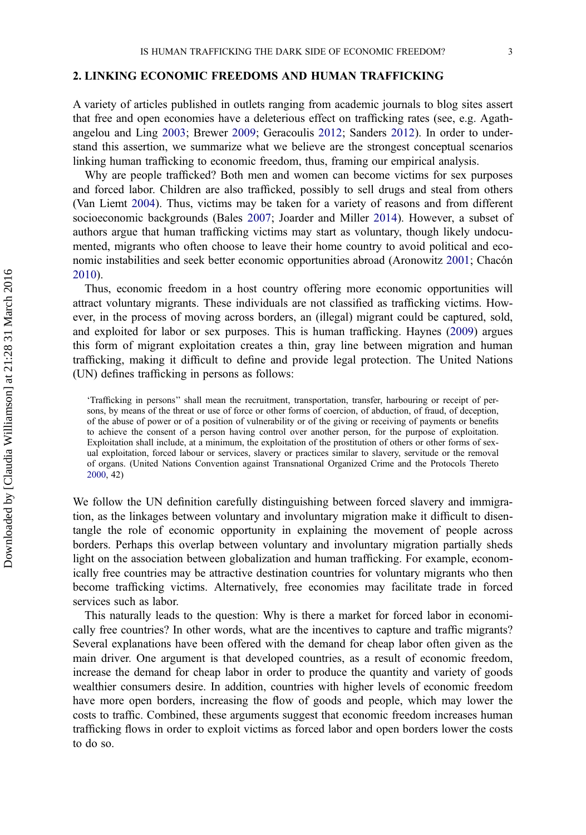#### 2. LINKING ECONOMIC FREEDOMS AND HUMAN TRAFFICKING

A variety of articles published in outlets ranging from academic journals to blog sites assert that free and open economies have a deleterious effect on trafficking rates (see, e.g. Agathangelou and Ling 2003; Brewer 2009; Geracoulis 2012; Sanders 2012). In order to understand this assertion, we summarize what we believe are the strongest conceptual scenarios linking human trafficking to economic freedom, thus, framing our empirical analysis.

Why are people trafficked? Both men and women can become victims for sex purposes and forced labor. Children are also trafficked, possibly to sell drugs and steal from others (Van Liemt 2004). Thus, victims may be taken for a variety of reasons and from different socioeconomic backgrounds (Bales 2007; Joarder and Miller 2014). However, a subset of authors argue that human trafficking victims may start as voluntary, though likely undocumented, migrants who often choose to leave their home country to avoid political and economic instabilities and seek better economic opportunities abroad (Aronowitz 2001; Chacón 2010).

Thus, economic freedom in a host country offering more economic opportunities will attract voluntary migrants. These individuals are not classified as trafficking victims. However, in the process of moving across borders, an (illegal) migrant could be captured, sold, and exploited for labor or sex purposes. This is human trafficking. Haynes (2009) argues this form of migrant exploitation creates a thin, gray line between migration and human trafficking, making it difficult to define and provide legal protection. The United Nations (UN) defines trafficking in persons as follows:

'Trafficking in persons'' shall mean the recruitment, transportation, transfer, harbouring or receipt of persons, by means of the threat or use of force or other forms of coercion, of abduction, of fraud, of deception, of the abuse of power or of a position of vulnerability or of the giving or receiving of payments or benefits to achieve the consent of a person having control over another person, for the purpose of exploitation. Exploitation shall include, at a minimum, the exploitation of the prostitution of others or other forms of sexual exploitation, forced labour or services, slavery or practices similar to slavery, servitude or the removal of organs. (United Nations Convention against Transnational Organized Crime and the Protocols Thereto 2000, 42)

We follow the UN definition carefully distinguishing between forced slavery and immigration, as the linkages between voluntary and involuntary migration make it difficult to disentangle the role of economic opportunity in explaining the movement of people across borders. Perhaps this overlap between voluntary and involuntary migration partially sheds light on the association between globalization and human trafficking. For example, economically free countries may be attractive destination countries for voluntary migrants who then become trafficking victims. Alternatively, free economies may facilitate trade in forced services such as labor.

This naturally leads to the question: Why is there a market for forced labor in economically free countries? In other words, what are the incentives to capture and traffic migrants? Several explanations have been offered with the demand for cheap labor often given as the main driver. One argument is that developed countries, as a result of economic freedom, increase the demand for cheap labor in order to produce the quantity and variety of goods wealthier consumers desire. In addition, countries with higher levels of economic freedom have more open borders, increasing the flow of goods and people, which may lower the costs to traffic. Combined, these arguments suggest that economic freedom increases human trafficking flows in order to exploit victims as forced labor and open borders lower the costs to do so.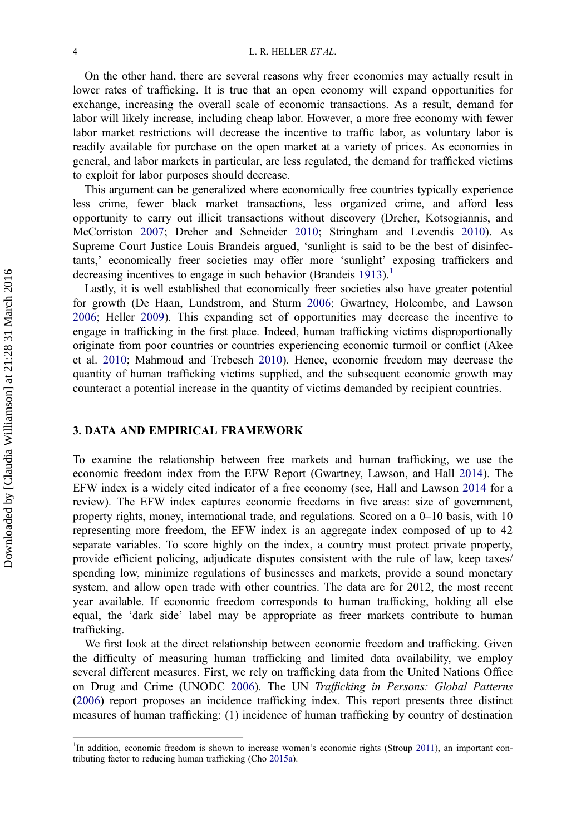On the other hand, there are several reasons why freer economies may actually result in lower rates of trafficking. It is true that an open economy will expand opportunities for exchange, increasing the overall scale of economic transactions. As a result, demand for labor will likely increase, including cheap labor. However, a more free economy with fewer labor market restrictions will decrease the incentive to traffic labor, as voluntary labor is readily available for purchase on the open market at a variety of prices. As economies in general, and labor markets in particular, are less regulated, the demand for trafficked victims to exploit for labor purposes should decrease.

This argument can be generalized where economically free countries typically experience less crime, fewer black market transactions, less organized crime, and afford less opportunity to carry out illicit transactions without discovery (Dreher, Kotsogiannis, and McCorriston 2007; Dreher and Schneider 2010; Stringham and Levendis 2010). As Supreme Court Justice Louis Brandeis argued, 'sunlight is said to be the best of disinfectants,' economically freer societies may offer more 'sunlight' exposing traffickers and decreasing incentives to engage in such behavior (Brandeis 1913).<sup>1</sup>

Lastly, it is well established that economically freer societies also have greater potential for growth (De Haan, Lundstrom, and Sturm 2006; Gwartney, Holcombe, and Lawson 2006; Heller 2009). This expanding set of opportunities may decrease the incentive to engage in trafficking in the first place. Indeed, human trafficking victims disproportionally originate from poor countries or countries experiencing economic turmoil or conflict (Akee et al. 2010; Mahmoud and Trebesch 2010). Hence, economic freedom may decrease the quantity of human trafficking victims supplied, and the subsequent economic growth may counteract a potential increase in the quantity of victims demanded by recipient countries.

#### 3. DATA AND EMPIRICAL FRAMEWORK

To examine the relationship between free markets and human trafficking, we use the economic freedom index from the EFW Report (Gwartney, Lawson, and Hall 2014). The EFW index is a widely cited indicator of a free economy (see, Hall and Lawson 2014 for a review). The EFW index captures economic freedoms in five areas: size of government, property rights, money, international trade, and regulations. Scored on a 0–10 basis, with 10 representing more freedom, the EFW index is an aggregate index composed of up to 42 separate variables. To score highly on the index, a country must protect private property, provide efficient policing, adjudicate disputes consistent with the rule of law, keep taxes/ spending low, minimize regulations of businesses and markets, provide a sound monetary system, and allow open trade with other countries. The data are for 2012, the most recent year available. If economic freedom corresponds to human trafficking, holding all else equal, the 'dark side' label may be appropriate as freer markets contribute to human trafficking.

We first look at the direct relationship between economic freedom and trafficking. Given the difficulty of measuring human trafficking and limited data availability, we employ several different measures. First, we rely on trafficking data from the United Nations Office on Drug and Crime (UNODC 2006). The UN Trafficking in Persons: Global Patterns (2006) report proposes an incidence trafficking index. This report presents three distinct measures of human trafficking: (1) incidence of human trafficking by country of destination

<sup>&</sup>lt;sup>1</sup>In addition, economic freedom is shown to increase women's economic rights (Stroup 2011), an important contributing factor to reducing human trafficking (Cho 2015a).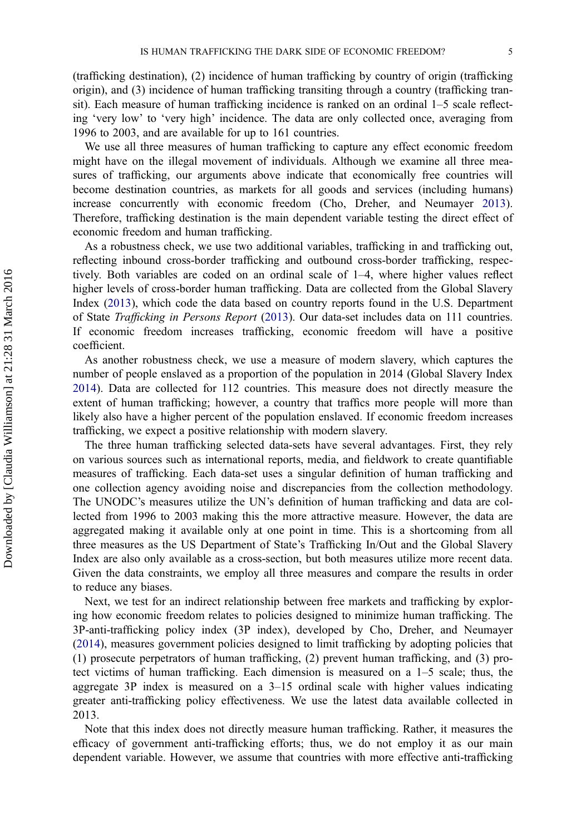(trafficking destination), (2) incidence of human trafficking by country of origin (trafficking origin), and (3) incidence of human trafficking transiting through a country (trafficking transit). Each measure of human trafficking incidence is ranked on an ordinal 1–5 scale reflecting 'very low' to 'very high' incidence. The data are only collected once, averaging from 1996 to 2003, and are available for up to 161 countries.

We use all three measures of human trafficking to capture any effect economic freedom might have on the illegal movement of individuals. Although we examine all three measures of trafficking, our arguments above indicate that economically free countries will become destination countries, as markets for all goods and services (including humans) increase concurrently with economic freedom (Cho, Dreher, and Neumayer 2013). Therefore, trafficking destination is the main dependent variable testing the direct effect of economic freedom and human trafficking.

As a robustness check, we use two additional variables, trafficking in and trafficking out, reflecting inbound cross-border trafficking and outbound cross-border trafficking, respectively. Both variables are coded on an ordinal scale of 1–4, where higher values reflect higher levels of cross-border human trafficking. Data are collected from the Global Slavery Index (2013), which code the data based on country reports found in the U.S. Department of State Trafficking in Persons Report (2013). Our data-set includes data on 111 countries. If economic freedom increases trafficking, economic freedom will have a positive coefficient.

As another robustness check, we use a measure of modern slavery, which captures the number of people enslaved as a proportion of the population in 2014 (Global Slavery Index 2014). Data are collected for 112 countries. This measure does not directly measure the extent of human trafficking; however, a country that traffics more people will more than likely also have a higher percent of the population enslaved. If economic freedom increases trafficking, we expect a positive relationship with modern slavery.

The three human trafficking selected data-sets have several advantages. First, they rely on various sources such as international reports, media, and fieldwork to create quantifiable measures of trafficking. Each data-set uses a singular definition of human trafficking and one collection agency avoiding noise and discrepancies from the collection methodology. The UNODC's measures utilize the UN's definition of human trafficking and data are collected from 1996 to 2003 making this the more attractive measure. However, the data are aggregated making it available only at one point in time. This is a shortcoming from all three measures as the US Department of State's Trafficking In/Out and the Global Slavery Index are also only available as a cross-section, but both measures utilize more recent data. Given the data constraints, we employ all three measures and compare the results in order to reduce any biases.

Next, we test for an indirect relationship between free markets and trafficking by exploring how economic freedom relates to policies designed to minimize human trafficking. The 3P-anti-trafficking policy index (3P index), developed by Cho, Dreher, and Neumayer (2014), measures government policies designed to limit trafficking by adopting policies that (1) prosecute perpetrators of human trafficking, (2) prevent human trafficking, and (3) protect victims of human trafficking. Each dimension is measured on a 1–5 scale; thus, the aggregate 3P index is measured on a 3–15 ordinal scale with higher values indicating greater anti-trafficking policy effectiveness. We use the latest data available collected in 2013.

Note that this index does not directly measure human trafficking. Rather, it measures the efficacy of government anti-trafficking efforts; thus, we do not employ it as our main dependent variable. However, we assume that countries with more effective anti-trafficking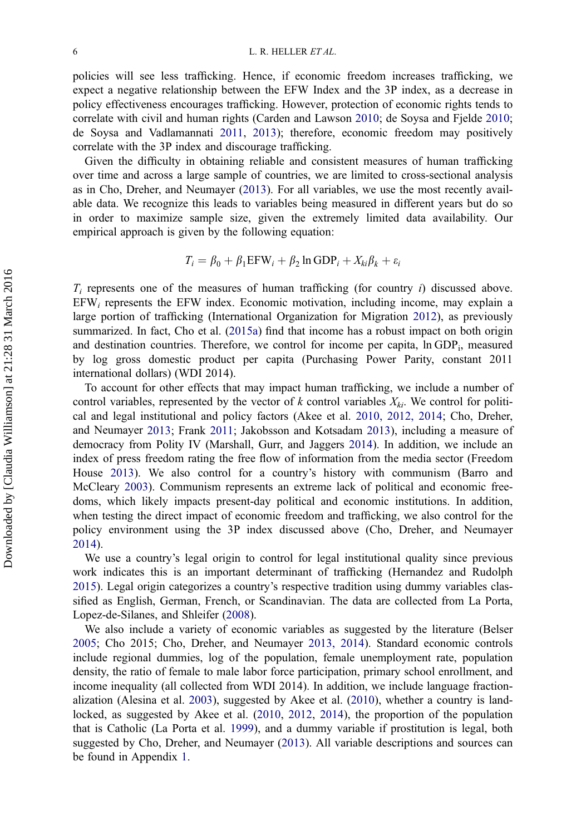policies will see less trafficking. Hence, if economic freedom increases trafficking, we expect a negative relationship between the EFW Index and the 3P index, as a decrease in policy effectiveness encourages trafficking. However, protection of economic rights tends to correlate with civil and human rights (Carden and Lawson 2010; de Soysa and Fjelde 2010; de Soysa and Vadlamannati 2011, 2013); therefore, economic freedom may positively correlate with the 3P index and discourage trafficking.

Given the difficulty in obtaining reliable and consistent measures of human trafficking over time and across a large sample of countries, we are limited to cross-sectional analysis as in Cho, Dreher, and Neumayer (2013). For all variables, we use the most recently available data. We recognize this leads to variables being measured in different years but do so in order to maximize sample size, given the extremely limited data availability. Our empirical approach is given by the following equation:

$$
T_i = \beta_0 + \beta_1 \text{EFW}_i + \beta_2 \ln \text{GDP}_i + X_{ki} \beta_k + \varepsilon_i
$$

 $T_i$  represents one of the measures of human trafficking (for country i) discussed above.  $EFW<sub>i</sub>$  represents the EFW index. Economic motivation, including income, may explain a large portion of trafficking (International Organization for Migration 2012), as previously summarized. In fact, Cho et al. (2015a) find that income has a robust impact on both origin and destination countries. Therefore, we control for income per capita, ln GDPi, measured by log gross domestic product per capita (Purchasing Power Parity, constant 2011 international dollars) (WDI 2014).

To account for other effects that may impact human trafficking, we include a number of control variables, represented by the vector of k control variables  $X_{ki}$ . We control for political and legal institutional and policy factors (Akee et al. 2010, 2012, 2014; Cho, Dreher, and Neumayer 2013; Frank 2011; Jakobsson and Kotsadam 2013), including a measure of democracy from Polity IV (Marshall, Gurr, and Jaggers 2014). In addition, we include an index of press freedom rating the free flow of information from the media sector (Freedom House 2013). We also control for a country's history with communism (Barro and McCleary 2003). Communism represents an extreme lack of political and economic freedoms, which likely impacts present-day political and economic institutions. In addition, when testing the direct impact of economic freedom and trafficking, we also control for the policy environment using the 3P index discussed above (Cho, Dreher, and Neumayer 2014).

We use a country's legal origin to control for legal institutional quality since previous work indicates this is an important determinant of trafficking (Hernandez and Rudolph 2015). Legal origin categorizes a country's respective tradition using dummy variables classified as English, German, French, or Scandinavian. The data are collected from La Porta, Lopez-de-Silanes, and Shleifer (2008).

We also include a variety of economic variables as suggested by the literature (Belser 2005; Cho 2015; Cho, Dreher, and Neumayer 2013, 2014). Standard economic controls include regional dummies, log of the population, female unemployment rate, population density, the ratio of female to male labor force participation, primary school enrollment, and income inequality (all collected from WDI 2014). In addition, we include language fractionalization (Alesina et al. 2003), suggested by Akee et al. (2010), whether a country is landlocked, as suggested by Akee et al. (2010, 2012, 2014), the proportion of the population that is Catholic (La Porta et al. 1999), and a dummy variable if prostitution is legal, both suggested by Cho, Dreher, and Neumayer (2013). All variable descriptions and sources can be found in Appendix 1.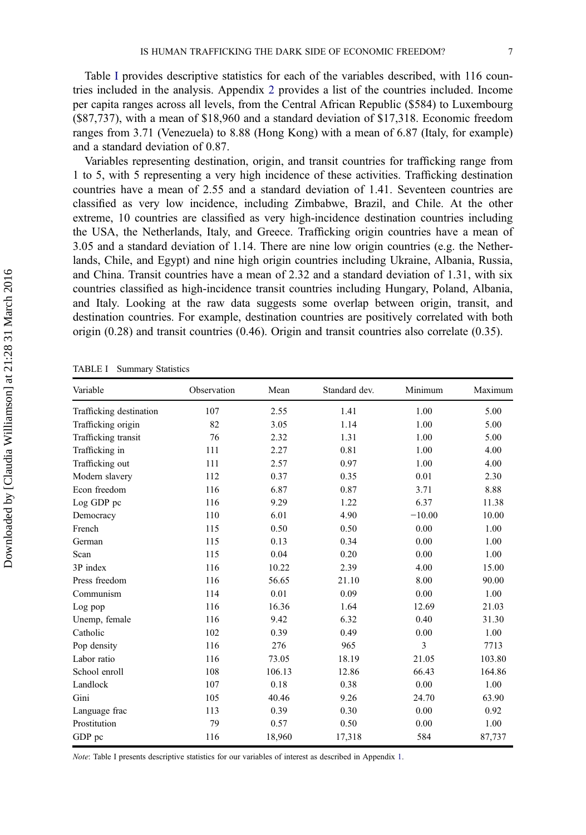Table I provides descriptive statistics for each of the variables described, with 116 countries included in the analysis. Appendix 2 provides a list of the countries included. Income per capita ranges across all levels, from the Central African Republic (\$584) to Luxembourg (\$87,737), with a mean of \$18,960 and a standard deviation of \$17,318. Economic freedom ranges from 3.71 (Venezuela) to 8.88 (Hong Kong) with a mean of 6.87 (Italy, for example) and a standard deviation of 0.87.

Variables representing destination, origin, and transit countries for trafficking range from 1 to 5, with 5 representing a very high incidence of these activities. Trafficking destination countries have a mean of 2.55 and a standard deviation of 1.41. Seventeen countries are classified as very low incidence, including Zimbabwe, Brazil, and Chile. At the other extreme, 10 countries are classified as very high-incidence destination countries including the USA, the Netherlands, Italy, and Greece. Trafficking origin countries have a mean of 3.05 and a standard deviation of 1.14. There are nine low origin countries (e.g. the Netherlands, Chile, and Egypt) and nine high origin countries including Ukraine, Albania, Russia, and China. Transit countries have a mean of 2.32 and a standard deviation of 1.31, with six countries classified as high-incidence transit countries including Hungary, Poland, Albania, and Italy. Looking at the raw data suggests some overlap between origin, transit, and destination countries. For example, destination countries are positively correlated with both origin (0.28) and transit countries (0.46). Origin and transit countries also correlate (0.35).

TABLE I Summary Statistics

| Variable                | Observation | Mean   | Standard dev. | Minimum  | Maximum |
|-------------------------|-------------|--------|---------------|----------|---------|
| Trafficking destination | 107         | 2.55   | 1.41          | 1.00     | 5.00    |
| Trafficking origin      | 82          | 3.05   | 1.14          | 1.00     | 5.00    |
| Trafficking transit     | 76          | 2.32   | 1.31          | 1.00     | 5.00    |
| Trafficking in          | 111         | 2.27   | 0.81          | 1.00     | 4.00    |
| Trafficking out         | 111         | 2.57   | 0.97          | 1.00     | 4.00    |
| Modern slavery          | 112         | 0.37   | 0.35          | 0.01     | 2.30    |
| Econ freedom            | 116         | 6.87   | 0.87          | 3.71     | 8.88    |
| Log GDP pc              | 116         | 9.29   | 1.22          | 6.37     | 11.38   |
| Democracy               | 110         | 6.01   | 4.90          | $-10.00$ | 10.00   |
| French                  | 115         | 0.50   | 0.50          | 0.00     | 1.00    |
| German                  | 115         | 0.13   | 0.34          | 0.00     | 1.00    |
| Scan                    | 115         | 0.04   | 0.20          | 0.00     | 1.00    |
| 3P index                | 116         | 10.22  | 2.39          | 4.00     | 15.00   |
| Press freedom           | 116         | 56.65  | 21.10         | 8.00     | 90.00   |
| Communism               | 114         | 0.01   | 0.09          | 0.00     | 1.00    |
| Log pop                 | 116         | 16.36  | 1.64          | 12.69    | 21.03   |
| Unemp, female           | 116         | 9.42   | 6.32          | 0.40     | 31.30   |
| Catholic                | 102         | 0.39   | 0.49          | 0.00     | 1.00    |
| Pop density             | 116         | 276    | 965           | 3        | 7713    |
| Labor ratio             | 116         | 73.05  | 18.19         | 21.05    | 103.80  |
| School enroll           | 108         | 106.13 | 12.86         | 66.43    | 164.86  |
| Landlock                | 107         | 0.18   | 0.38          | 0.00     | 1.00    |
| Gini                    | 105         | 40.46  | 9.26          | 24.70    | 63.90   |
| Language frac           | 113         | 0.39   | 0.30          | 0.00     | 0.92    |
| Prostitution            | 79          | 0.57   | 0.50          | 0.00     | 1.00    |
| GDP pc                  | 116         | 18,960 | 17,318        | 584      | 87,737  |

Note: Table I presents descriptive statistics for our variables of interest as described in Appendix 1.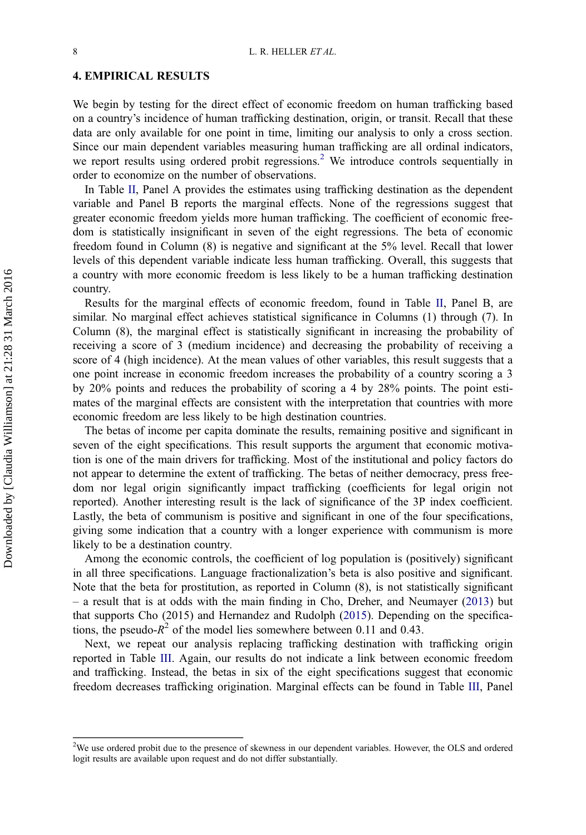#### 4. EMPIRICAL RESULTS

We begin by testing for the direct effect of economic freedom on human trafficking based on a country's incidence of human trafficking destination, origin, or transit. Recall that these data are only available for one point in time, limiting our analysis to only a cross section. Since our main dependent variables measuring human trafficking are all ordinal indicators, we report results using ordered probit regressions.<sup>2</sup> We introduce controls sequentially in order to economize on the number of observations.

In Table II, Panel A provides the estimates using trafficking destination as the dependent variable and Panel B reports the marginal effects. None of the regressions suggest that greater economic freedom yields more human trafficking. The coefficient of economic freedom is statistically insignificant in seven of the eight regressions. The beta of economic freedom found in Column (8) is negative and significant at the 5% level. Recall that lower levels of this dependent variable indicate less human trafficking. Overall, this suggests that a country with more economic freedom is less likely to be a human trafficking destination country.

Results for the marginal effects of economic freedom, found in Table II, Panel B, are similar. No marginal effect achieves statistical significance in Columns (1) through (7). In Column (8), the marginal effect is statistically significant in increasing the probability of receiving a score of 3 (medium incidence) and decreasing the probability of receiving a score of 4 (high incidence). At the mean values of other variables, this result suggests that a one point increase in economic freedom increases the probability of a country scoring a 3 by 20% points and reduces the probability of scoring a 4 by 28% points. The point estimates of the marginal effects are consistent with the interpretation that countries with more economic freedom are less likely to be high destination countries.

The betas of income per capita dominate the results, remaining positive and significant in seven of the eight specifications. This result supports the argument that economic motivation is one of the main drivers for trafficking. Most of the institutional and policy factors do not appear to determine the extent of trafficking. The betas of neither democracy, press freedom nor legal origin significantly impact trafficking (coefficients for legal origin not reported). Another interesting result is the lack of significance of the 3P index coefficient. Lastly, the beta of communism is positive and significant in one of the four specifications, giving some indication that a country with a longer experience with communism is more likely to be a destination country.

Among the economic controls, the coefficient of log population is (positively) significant in all three specifications. Language fractionalization's beta is also positive and significant. Note that the beta for prostitution, as reported in Column (8), is not statistically significant – a result that is at odds with the main finding in Cho, Dreher, and Neumayer (2013) but that supports Cho (2015) and Hernandez and Rudolph (2015). Depending on the specifications, the pseudo- $R^2$  of the model lies somewhere between 0.11 and 0.43.

Next, we repeat our analysis replacing trafficking destination with trafficking origin reported in Table III. Again, our results do not indicate a link between economic freedom and trafficking. Instead, the betas in six of the eight specifications suggest that economic freedom decreases trafficking origination. Marginal effects can be found in Table III, Panel

<sup>&</sup>lt;sup>2</sup>We use ordered probit due to the presence of skewness in our dependent variables. However, the OLS and ordered logit results are available upon request and do not differ substantially.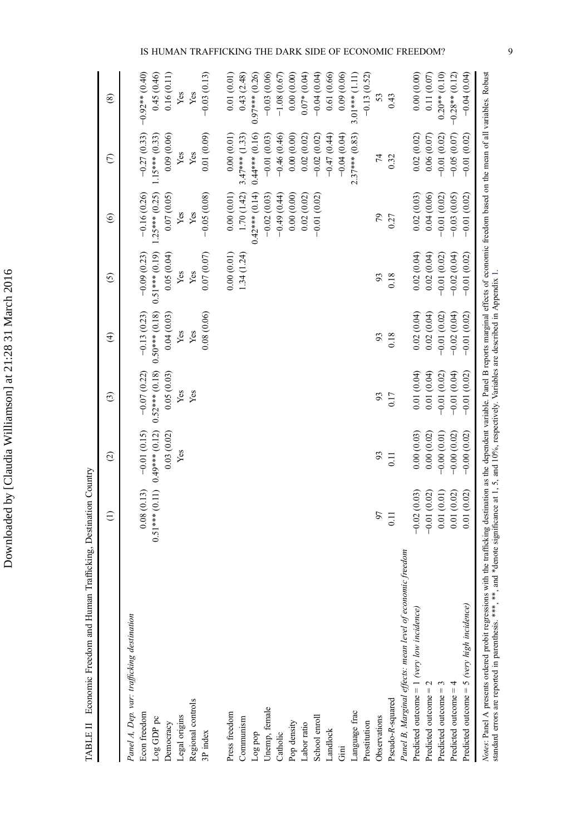|                                                                                                                                                                                                                                   | $\oplus$                          | $\odot$          | $\odot$          | $\widehat{\mathcal{F}}$ | $\odot$       | $\odot$                                            | $\epsilon$       | $\circledast$    |
|-----------------------------------------------------------------------------------------------------------------------------------------------------------------------------------------------------------------------------------|-----------------------------------|------------------|------------------|-------------------------|---------------|----------------------------------------------------|------------------|------------------|
| Panel A, Dep. var: trafficking destination                                                                                                                                                                                        |                                   |                  |                  |                         |               |                                                    |                  |                  |
| Econ freedom                                                                                                                                                                                                                      | 0.08(0.13)                        | $-0.01(0.15)$    | $-0.07(0.22)$    | $-0.13(0.23)$           | $-0.09(0.23)$ | $-0.16(0.26)$                                      | $-0.27(0.33)$    | $-0.92**$ (0.40) |
| Log GDP pc                                                                                                                                                                                                                        | $0.51***$ (0.11) $0.49***$ (0.12) |                  | $0.52***$ (0.18) | $0.50***$ (0.18)        |               | $0.51***$ (0.19) $1.25***$ (0.25) $1.15***$ (0.33) |                  | 0.45(0.46)       |
| Democracy                                                                                                                                                                                                                         |                                   | 0.03(0.02)       | 0.05(0.03)       | 0.04(0.03)              | 0.05(0.04)    | 0.07(0.05)                                         | 0.09(0.06)       | 0.16(0.11)       |
| Legal origins                                                                                                                                                                                                                     |                                   | Yes              | Yes              | Yes                     | Yes           | Yes                                                | Yes              | Yes              |
| Regional controls                                                                                                                                                                                                                 |                                   |                  | Yes              | Yes                     | Yes           | Yes                                                | Yes              | Yes              |
| 3P index                                                                                                                                                                                                                          |                                   |                  |                  | 0.08(0.06)              | 0.07(0.07)    | $-0.05(0.08)$                                      | 0.01(0.09)       | $-0.03(0.13)$    |
| Press freedom                                                                                                                                                                                                                     |                                   |                  |                  |                         | 0.00(0.01)    | 0.00(0.01)                                         | 0.00(0.01)       | 0.01(0.01)       |
| Communism                                                                                                                                                                                                                         |                                   |                  |                  |                         | 1.34(1.24)    | 1.70 (1.42)                                        | $3.47***$ (1.33) | 0.43(2.48)       |
| Log pop                                                                                                                                                                                                                           |                                   |                  |                  |                         |               | $0.42***$ (0.14)                                   | $0.44***$ (0.16) | $0.97***$ (0.26) |
| Unemp, female                                                                                                                                                                                                                     |                                   |                  |                  |                         |               | $-0.02(0.03)$                                      | $-0.01(0.03)$    | $-0.03(0.06)$    |
| Catholic                                                                                                                                                                                                                          |                                   |                  |                  |                         |               | $-0.49(0.44)$                                      | $-0.46(0.46)$    | $-1.08(0.67)$    |
| Pop density                                                                                                                                                                                                                       |                                   |                  |                  |                         |               | 0.00(0.00)                                         | 0.00(0.00)       | 0.00(0.00)       |
| Labor ratio                                                                                                                                                                                                                       |                                   |                  |                  |                         |               | 0.02(0.02)                                         | 0.02(0.02)       | $0.07*(0.04)$    |
| School enroll                                                                                                                                                                                                                     |                                   |                  |                  |                         |               | $-0.01(0.02)$                                      | $-0.02(0.02)$    | $-0.04(0.04)$    |
| Landlock                                                                                                                                                                                                                          |                                   |                  |                  |                         |               |                                                    | $-0.47(0.44)$    | 0.61(0.66)       |
| $\rm Gini$                                                                                                                                                                                                                        |                                   |                  |                  |                         |               |                                                    | $-0.04(0.04)$    | 0.09(0.06)       |
| Language frac                                                                                                                                                                                                                     |                                   |                  |                  |                         |               |                                                    | $2.37***$ (0.83) | $3.01***$ (1.11) |
| Prostitution                                                                                                                                                                                                                      |                                   |                  |                  |                         |               |                                                    |                  | $-0.13(0.52)$    |
| Observations                                                                                                                                                                                                                      | 56                                | 93               | 93               | 93                      | 93            | 79                                                 | 74               | 53               |
| Pseudo-R-squared                                                                                                                                                                                                                  | 0.11                              | $\overline{0}$ . | 0.17             | 0.18                    | 0.18          | 0.27                                               | 0.32             | 0.43             |
| Panel B, Marginal effects: mean level of economic freedom                                                                                                                                                                         |                                   |                  |                  |                         |               |                                                    |                  |                  |
| Predicted outcome $= 1$ (very low incidence)                                                                                                                                                                                      | $-0.02(0.03)$                     | 0.00(0.03)       | 0.01(0.04)       | 0.02(0.04)              | 0.02(0.04)    | 0.02(0.03)                                         | 0.02(0.02)       | 0.00(0.00)       |
| Predicted outcome $= 2$                                                                                                                                                                                                           | $-0.01(0.02)$                     | 0.00(0.02)       | 0.01(0.04)       | 0.02(0.04)              | 0.02(0.04)    | 0.04(0.06)                                         | 0.06(0.07)       | 0.11(0.07)       |
| Predicted outcome $=$ 3                                                                                                                                                                                                           | 0.01(0.01)                        | $-0.00(0.01)$    | $-0.01(0.02)$    | $-0.01(0.02)$           | $-0.01(0.02)$ | $-0.01(0.02)$                                      | $-0.01(0.02)$    | $0.20**$ (0.10)  |
| Predicted outcome $=4$                                                                                                                                                                                                            | 0.01(0.02)                        | $-0.00(0.02)$    | $-0.01(0.04)$    | $-0.02(0.04)$           | $-0.02(0.04)$ | $-0.03(0.05)$                                      | $-0.05(0.07)$    | $-0.28**$ (0.12) |
| Predicted outcome = 5 (very high incidence)                                                                                                                                                                                       | 0.01(0.02)                        | $-0.00(0.02)$    | $-0.01(0.02)$    | $-0.01(0.02)$           | $-0.01(0.02)$ | $-0.01(0.02)$                                      | $-0.01(0.02)$    | $-0.04(0.04)$    |
| Notes: Panel A presents ordered probit regressions with the trafficking destination as the dependent variable. Panel B reports marginal effects of economic freedom based on the mean of all variables. Robust<br>standard errors |                                   |                  |                  |                         |               |                                                    |                  |                  |

Downloaded by [Claudia Williamson] at 21:28 31 March 2016 Downloaded by [Claudia Williamson] at 21:28 31 March 2016

TABLE II Economic Freedom and Human Trafficking, Destination Country TABLE II Economic Freedom and Human Trafficking, Destination Country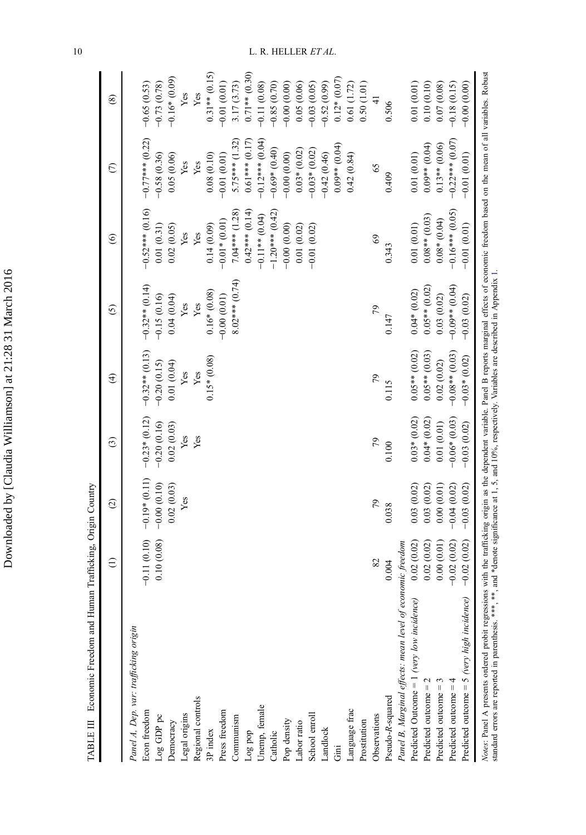| i                              |
|--------------------------------|
|                                |
|                                |
|                                |
|                                |
| , 0 0 1                        |
|                                |
| l                              |
| l                              |
|                                |
|                                |
|                                |
| ֧֚֚֝<br>֧֚֚֝<br>֧֚֝<br>ı.<br>I |
|                                |
|                                |
|                                |
|                                |
|                                |
|                                |
|                                |
|                                |
|                                |
|                                |
|                                |
|                                |
| י<br>ו                         |
|                                |
| i                              |
| I<br>l                         |
|                                |
| ֚֡֕֡                           |
|                                |
|                                |
|                                |
|                                |
|                                |
|                                |
|                                |
|                                |
|                                |
|                                |
|                                |

TABLE III Economic Freedom and Human Trafficking, Origin Country TABLE III Economic Freedom and Human Trafficking, Origin Country

|                                                                                                                                                                                                                                                                                                                                                                   | $\widehat{\epsilon}$ | $\widehat{c}$   | $\odot$         | $\widehat{\mathcal{F}}$ | $\odot$          | $\odot$           | $\epsilon$        | $\circledast$   |
|-------------------------------------------------------------------------------------------------------------------------------------------------------------------------------------------------------------------------------------------------------------------------------------------------------------------------------------------------------------------|----------------------|-----------------|-----------------|-------------------------|------------------|-------------------|-------------------|-----------------|
| Panel A, Dep. var: trafficking origin                                                                                                                                                                                                                                                                                                                             |                      |                 |                 |                         |                  |                   |                   |                 |
| Econ freedom                                                                                                                                                                                                                                                                                                                                                      | $-0.11(0.10)$        | $-0.19*$ (0.11) | $-0.23*(0.12)$  | $-0.32**$ (0.13)        | $-0.32**$ (0.14) | $-0.52***$ (0.16) | $-0.77***$ (0.22) | $-0.65(0.53)$   |
| Log GDP pc                                                                                                                                                                                                                                                                                                                                                        | 0.10(0.08)           | $-0.00(0.10)$   | $-0.20(0.16)$   | $-0.20(0.15)$           | $-0.15(0.16)$    | 0.01(0.31)        | $-0.58(0.36)$     | $-0.73(0.78)$   |
| Democracy                                                                                                                                                                                                                                                                                                                                                         |                      | 0.02(0.03)      | 0.02(0.03)      | 0.01(0.04)              | 0.04(0.04)       | 0.02(0.05)        | 0.05(0.06)        | $-0.16*$ (0.09) |
| Legal origins                                                                                                                                                                                                                                                                                                                                                     |                      | Yes             | Yes             | Yes                     | Yes              | Yes               | Yes               | Yes             |
| Regional controls                                                                                                                                                                                                                                                                                                                                                 |                      |                 | Yes             | Yes                     | Yes              | Yes               | Yes               | Yes             |
| 3P index                                                                                                                                                                                                                                                                                                                                                          |                      |                 |                 | $0.15*(0.08)$           | $0.16*$ $(0.08)$ | 0.14(0.09)        | 0.08(0.10)        | $0.31**$ (0.15) |
| Press freedom                                                                                                                                                                                                                                                                                                                                                     |                      |                 |                 |                         | $-0.00(0.01)$    | $-0.01*$ (0.01)   | $-0.01(0.01)$     | $-0.01(0.01)$   |
| Communism                                                                                                                                                                                                                                                                                                                                                         |                      |                 |                 |                         | $8.02***(0.74)$  | $7.04***$ (1.28)  | $5.75***$ (1.32)  | 3.17 (3.73)     |
| Log pop                                                                                                                                                                                                                                                                                                                                                           |                      |                 |                 |                         |                  | $0.42***$ (0.14)  | $0.61***$ (0.17)  | $0.71**$ (0.30) |
| Unemp, female                                                                                                                                                                                                                                                                                                                                                     |                      |                 |                 |                         |                  | $-0.11**$ (0.04)  | $-0.12***$ (0.04) | $-0.11(0.08)$   |
| Catholic                                                                                                                                                                                                                                                                                                                                                          |                      |                 |                 |                         |                  | $-1.20***$ (0.42) | $-0.69*(0.40)$    | $-0.85(0.70)$   |
| Pop density                                                                                                                                                                                                                                                                                                                                                       |                      |                 |                 |                         |                  | $-0.00(0.00)$     | $-0.00(0.00)$     | $-0.00(0.00)$   |
| Labor ratio                                                                                                                                                                                                                                                                                                                                                       |                      |                 |                 |                         |                  | 0.01(0.02)        | $0.03*(0.02)$     | 0.05(0.06)      |
| School enrol                                                                                                                                                                                                                                                                                                                                                      |                      |                 |                 |                         |                  | $-0.01(0.02)$     | $-0.03*(0.02)$    | $-0.03(0.05)$   |
| Landlock                                                                                                                                                                                                                                                                                                                                                          |                      |                 |                 |                         |                  |                   | $-0.42(0.46)$     | $-0.52(0.99)$   |
| $\overline{\rm Gm}$                                                                                                                                                                                                                                                                                                                                               |                      |                 |                 |                         |                  |                   | $0.00**$ (0.04)   | $0.12*(0.07)$   |
| Language frac                                                                                                                                                                                                                                                                                                                                                     |                      |                 |                 |                         |                  |                   | 0.42(0.84)        | 0.61(1.72)      |
| Prostitution                                                                                                                                                                                                                                                                                                                                                      |                      |                 |                 |                         |                  |                   |                   | 0.50(1.01)      |
| Observations                                                                                                                                                                                                                                                                                                                                                      | 82                   | 79              | 79              | 64                      | 79               | 69                | 65                | $\frac{1}{4}$   |
| Pseudo-R-squared                                                                                                                                                                                                                                                                                                                                                  | 0.004                | 0.038           | 0.100           | 0.115                   | 0.147            | 0.343             | 0.409             | 0.506           |
| Panel B, Marginal effects: mean level of economic freedom                                                                                                                                                                                                                                                                                                         |                      |                 |                 |                         |                  |                   |                   |                 |
| Predicted Outcome = $1$ (very low incidence)                                                                                                                                                                                                                                                                                                                      | 0.02(0.02)           | 0.03(0.02)      | $0.03*(0.02)$   | $0.05**$ (0.02)         | $0.04*$ $(0.02)$ | 0.01(0.01)        | 0.01(0.01)        | 0.01(0.01)      |
| Predicted outcome $= 2$                                                                                                                                                                                                                                                                                                                                           | 0.02(0.02)           | 0.03(0.02)      | $0.04*(0.02)$   | $0.05**$ (0.03)         | $0.05**$ (0.02)  | $0.08**$ (0.03)   | $0.09**$ (0.04)   | 0.10(0.10)      |
| Predicted outcome $=$ 3                                                                                                                                                                                                                                                                                                                                           | 0.00(0.01)           | 0.00(0.01)      | 0.01(0.01)      | 0.02(0.02)              | 0.03(0.02)       | $0.08*(0.04)$     | $0.13**$ (0.06)   | 0.07(0.08)      |
| Predicted outcome $=$ 4                                                                                                                                                                                                                                                                                                                                           | $-0.02(0.02)$        | $-0.04(0.02)$   | $-0.06*$ (0.03) | $-0.08**$ (0.03)        | $-0.09**$ (0.04) | $-0.16***$ (0.05) | $-0.22***$ (0.07) | $-0.18(0.15)$   |
| Predicted outcome = 5 (very high incidence)                                                                                                                                                                                                                                                                                                                       | $-0.02(0.02)$        | $-0.03(0.02)$   | $-0.03(0.02)$   | $-0.03*(0.02)$          | $-0.03(0.02)$    | $-0.01(0.01)$     | $-0.01(0.01)$     | $-0.00(0.00)$   |
| Notes: Panel A presents ordered probit regressions with the trafficking origin as the dependent variable. Panel B reports marginal effects of economic freedom based on the mean of all variables. Robust<br>standard errors are reported in parenthesis. ***, **, and *denote significance at 1, 5, and 10%, respectively. Variables are described in Appendix 1 |                      |                 |                 |                         |                  |                   |                   |                 |

10  $L. R. HELLER ET AL.$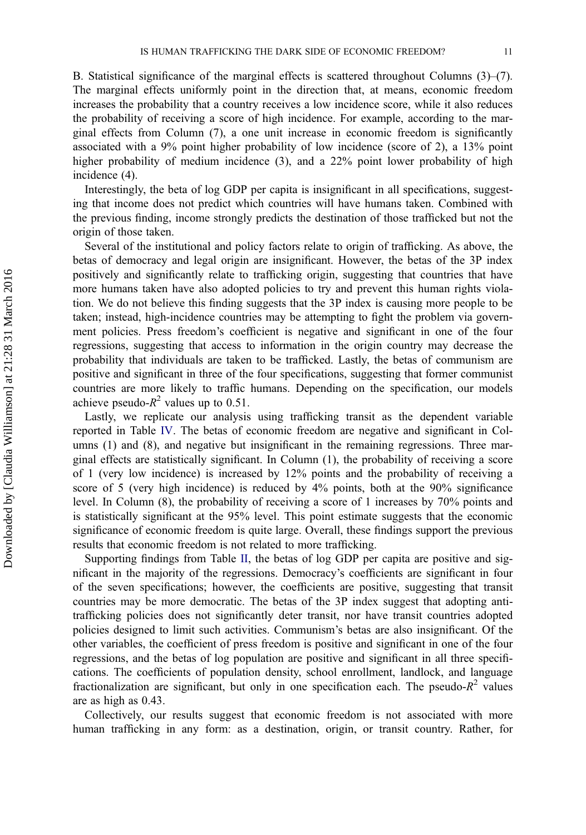B. Statistical significance of the marginal effects is scattered throughout Columns  $(3)$ – $(7)$ . The marginal effects uniformly point in the direction that, at means, economic freedom increases the probability that a country receives a low incidence score, while it also reduces the probability of receiving a score of high incidence. For example, according to the marginal effects from Column (7), a one unit increase in economic freedom is significantly associated with a 9% point higher probability of low incidence (score of 2), a 13% point higher probability of medium incidence (3), and a 22% point lower probability of high incidence (4).

Interestingly, the beta of log GDP per capita is insignificant in all specifications, suggesting that income does not predict which countries will have humans taken. Combined with the previous finding, income strongly predicts the destination of those trafficked but not the origin of those taken.

Several of the institutional and policy factors relate to origin of trafficking. As above, the betas of democracy and legal origin are insignificant. However, the betas of the 3P index positively and significantly relate to trafficking origin, suggesting that countries that have more humans taken have also adopted policies to try and prevent this human rights violation. We do not believe this finding suggests that the 3P index is causing more people to be taken; instead, high-incidence countries may be attempting to fight the problem via government policies. Press freedom's coefficient is negative and significant in one of the four regressions, suggesting that access to information in the origin country may decrease the probability that individuals are taken to be trafficked. Lastly, the betas of communism are positive and significant in three of the four specifications, suggesting that former communist countries are more likely to traffic humans. Depending on the specification, our models achieve pseudo- $R^2$  values up to 0.51.

Lastly, we replicate our analysis using trafficking transit as the dependent variable reported in Table IV. The betas of economic freedom are negative and significant in Columns (1) and (8), and negative but insignificant in the remaining regressions. Three marginal effects are statistically significant. In Column (1), the probability of receiving a score of 1 (very low incidence) is increased by 12% points and the probability of receiving a score of 5 (very high incidence) is reduced by 4% points, both at the 90% significance level. In Column (8), the probability of receiving a score of 1 increases by 70% points and is statistically significant at the 95% level. This point estimate suggests that the economic significance of economic freedom is quite large. Overall, these findings support the previous results that economic freedom is not related to more trafficking.

Supporting findings from Table II, the betas of log GDP per capita are positive and significant in the majority of the regressions. Democracy's coefficients are significant in four of the seven specifications; however, the coefficients are positive, suggesting that transit countries may be more democratic. The betas of the 3P index suggest that adopting antitrafficking policies does not significantly deter transit, nor have transit countries adopted policies designed to limit such activities. Communism's betas are also insignificant. Of the other variables, the coefficient of press freedom is positive and significant in one of the four regressions, and the betas of log population are positive and significant in all three specifications. The coefficients of population density, school enrollment, landlock, and language fractionalization are significant, but only in one specification each. The pseudo- $R^2$  values are as high as 0.43.

Collectively, our results suggest that economic freedom is not associated with more human trafficking in any form: as a destination, origin, or transit country. Rather, for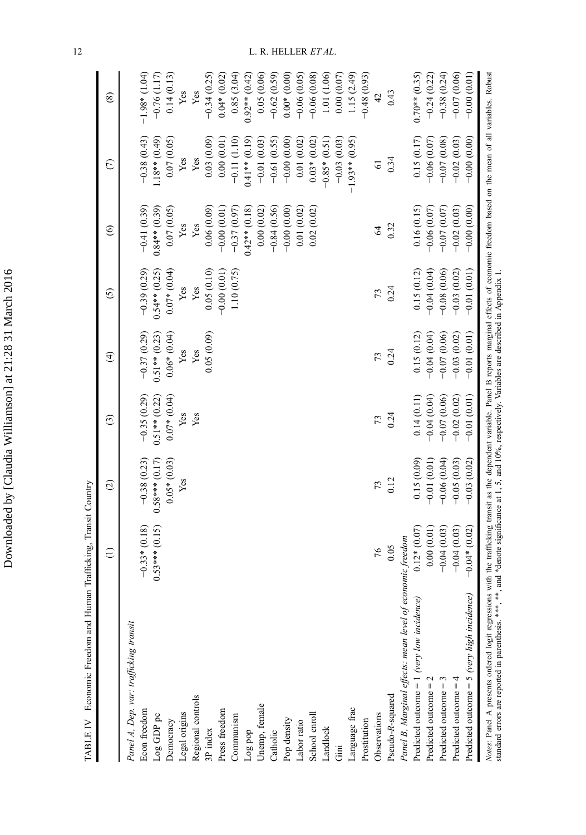| where you there<br>M I 2 8 G LC + 2 L |
|---------------------------------------|
|                                       |
|                                       |
| ا سا                                  |
|                                       |
|                                       |
| $\sim$                                |
|                                       |
| י<br>ו                                |
| י<br>היס                              |
| Ï                                     |
| ;<br>;                                |
|                                       |
| is cos                                |
|                                       |
|                                       |
|                                       |
|                                       |
|                                       |

 $\operatorname{TABLE\ IV}\ \text{\;Economic\ Freedom}$  and Human  $\operatorname{ThatBcking}\nolimits,$  Transit Country TABLE IV Economic Freedom and Human Trafficking, Transit Country

|                                                                                                                                                                                                                                  | $\ominus$        | $\odot$          | $\odot$         | $\widehat{\mathcal{F}}$ | $\odot$           | $\widehat{\circ}$ | $\epsilon$       | $\circledast$   |
|----------------------------------------------------------------------------------------------------------------------------------------------------------------------------------------------------------------------------------|------------------|------------------|-----------------|-------------------------|-------------------|-------------------|------------------|-----------------|
| Panel A, Dep. var: trafficking transit                                                                                                                                                                                           |                  |                  |                 |                         |                   |                   |                  |                 |
| Econ freedom                                                                                                                                                                                                                     | $-0.33*(0.18)$   | $-0.38(0.23)$    | $-0.35(0.29)$   | $-0.37(0.29)$           | $-0.39(0.29)$     | $-0.41(0.39)$     | $-0.38(0.43)$    | $-1.98*(1.04)$  |
| Log GDP pc                                                                                                                                                                                                                       | $0.53***$ (0.15) | $0.58***$ (0.17) | $0.51**$ (0.22) | $0.51**$ (0.23)         | $0.54**$ $(0.25)$ | $0.84**$ (0.39)   | $1.18**$ (0.49)  | $-0.76(1.17)$   |
| Democracy                                                                                                                                                                                                                        |                  | $0.05*(0.03)$    | $0.07*(0.04)$   | $0.06*(0.04)$           | $0.07*(0.04)$     | 0.07(0.05)        | 0.07(0.05)       | 0.14(0.13)      |
| Legal origins                                                                                                                                                                                                                    |                  | Yes              | Yes             | Yes                     | Yes               | Yes               | Yes              | Yes             |
| Regional controls                                                                                                                                                                                                                |                  |                  | Yes             | Yes                     | Yes               | Yes               | Yes              | Yes             |
| 3P index                                                                                                                                                                                                                         |                  |                  |                 | 0.05(0.09)              | 0.05(0.10)        | 0.06(0.09)        | 0.03(0.09)       | $-0.34(0.25)$   |
| Press freedom                                                                                                                                                                                                                    |                  |                  |                 |                         | $-0.00(0.01)$     | $-0.00(0.01)$     | 0.00(0.01)       | $0.04*(0.02)$   |
| Communism                                                                                                                                                                                                                        |                  |                  |                 |                         | 1.10(0.75)        | $-0.37(0.97)$     | $-0.11(1.10)$    | 0.85(3.04)      |
| Log pop                                                                                                                                                                                                                          |                  |                  |                 |                         |                   | $0.42**$ $(0.18)$ | $0.41**$ (0.19)  | $0.92**$ (0.42) |
| Unemp, female                                                                                                                                                                                                                    |                  |                  |                 |                         |                   | 0.00(0.02)        | $-0.01(0.03)$    | 0.05(0.06)      |
| Catholic                                                                                                                                                                                                                         |                  |                  |                 |                         |                   | $-0.84(0.56)$     | $-0.61(0.55)$    | $-0.62(0.59)$   |
| Pop density                                                                                                                                                                                                                      |                  |                  |                 |                         |                   | $-0.00(0.00)$     | $-0.00(0.00)$    | $0.00*$ (0.00)  |
| Labor ratio                                                                                                                                                                                                                      |                  |                  |                 |                         |                   | 0.01(0.02)        | 0.01(0.02)       | $-0.06(0.05)$   |
| School enroll                                                                                                                                                                                                                    |                  |                  |                 |                         |                   | 0.02(0.02)        | $0.03*(0.02)$    | $-0.06(0.08)$   |
| Landlock                                                                                                                                                                                                                         |                  |                  |                 |                         |                   |                   | $-0.85*(0.51)$   | 1.01 (1.06)     |
| Gini                                                                                                                                                                                                                             |                  |                  |                 |                         |                   |                   | $-0.03(0.03)$    | 0.00(0.07)      |
| Language frac                                                                                                                                                                                                                    |                  |                  |                 |                         |                   |                   | $-1.93**$ (0.95) | 1.15(2.49)      |
| Prostitution                                                                                                                                                                                                                     |                  |                  |                 |                         |                   |                   |                  | $-0.48(0.93)$   |
| Observations                                                                                                                                                                                                                     | 76               | 73               | 73              | 73                      | 73                | $\mathcal{L}$     | $\overline{6}$   | 42              |
| Pseudo-R-squared                                                                                                                                                                                                                 | 0.05             | 0.12             | 0.24            | 0.24                    | 0.24              | 0.32              | 0.34             | 0.43            |
| Panel B, Marginal effects: mean level of economic freedom                                                                                                                                                                        |                  |                  |                 |                         |                   |                   |                  |                 |
| Predicted outcome = $1$ (very low incidence)                                                                                                                                                                                     | $0.12*(0.07)$    | 0.15(0.09)       | 0.14(0.11)      | 0.15(0.12)              | 0.15(0.12)        | 0.16(0.15)        | 0.15(0.17)       | $0.70**$ (0.35) |
| Predicted outcome $= 2$                                                                                                                                                                                                          | 0.00(0.01)       | $-0.01(0.01)$    | $-0.04(0.04)$   | $-0.04(0.04)$           | $-0.04(0.04)$     | $-0.06(0.07)$     | $-0.06(0.07)$    | $-0.24(0.22)$   |
| Predicted outcome $=$ 3                                                                                                                                                                                                          | $-0.04(0.03)$    | $-0.06(0.04)$    | $-0.07(0.06)$   | $-0.07(0.06)$           | $-0.08(0.06)$     | $-0.07(0.07)$     | $-0.07(0.08)$    | $-0.38(0.24)$   |
| Predicted outcome $=$ 4                                                                                                                                                                                                          | $-0.04(0.03)$    | $-0.05(0.03)$    | $-0.02(0.02)$   | $-0.03(0.02)$           | $-0.03(0.02)$     | $-0.02(0.03)$     | $-0.02(0.03)$    | $-0.07(0.06)$   |
| Predicted outcome = $5$ (very high incidence)                                                                                                                                                                                    | $-0.04*(0.02)$   | $-0.03(0.02)$    | $-0.01(0.01)$   | $-0.01(0.01)$           | $-0.01(0.01)$     | $-0.00(0.00)$     | $-0.00(0.00)$    | $-0.00(0.01)$   |
| Notes: Panel A presents ordered logit regressions with the trafficking transit as the dependent variable. Panel B reports marginal effects of economic freedom based on the mean of all variables. Robust<br>standard errors are |                  |                  |                 |                         |                   |                   |                  |                 |

12 L. R. HELLER ET AL.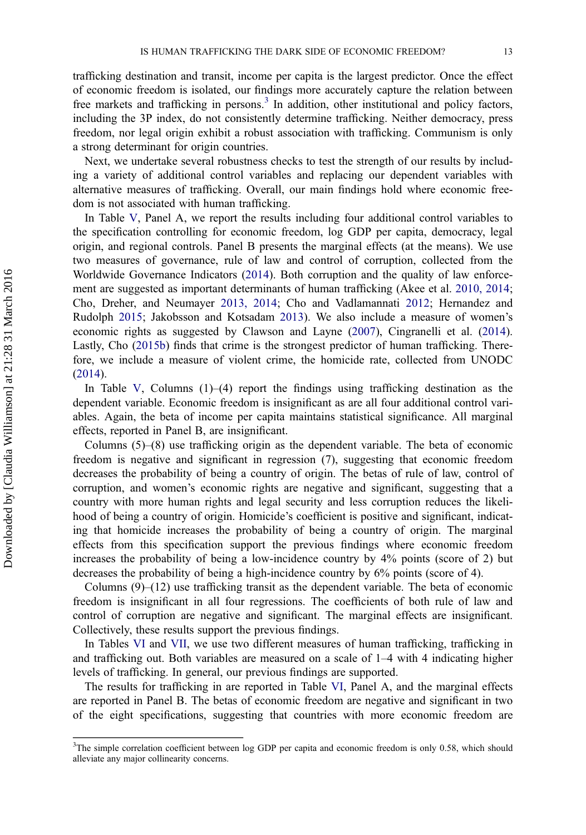trafficking destination and transit, income per capita is the largest predictor. Once the effect of economic freedom is isolated, our findings more accurately capture the relation between free markets and trafficking in persons.<sup>3</sup> In addition, other institutional and policy factors, including the 3P index, do not consistently determine trafficking. Neither democracy, press freedom, nor legal origin exhibit a robust association with trafficking. Communism is only a strong determinant for origin countries.

Next, we undertake several robustness checks to test the strength of our results by including a variety of additional control variables and replacing our dependent variables with alternative measures of trafficking. Overall, our main findings hold where economic freedom is not associated with human trafficking.

In Table V, Panel A, we report the results including four additional control variables to the specification controlling for economic freedom, log GDP per capita, democracy, legal origin, and regional controls. Panel B presents the marginal effects (at the means). We use two measures of governance, rule of law and control of corruption, collected from the Worldwide Governance Indicators (2014). Both corruption and the quality of law enforcement are suggested as important determinants of human trafficking (Akee et al. 2010, 2014; Cho, Dreher, and Neumayer 2013, 2014; Cho and Vadlamannati 2012; Hernandez and Rudolph 2015; Jakobsson and Kotsadam 2013). We also include a measure of women's economic rights as suggested by Clawson and Layne (2007), Cingranelli et al. (2014). Lastly, Cho (2015b) finds that crime is the strongest predictor of human trafficking. Therefore, we include a measure of violent crime, the homicide rate, collected from UNODC (2014).

In Table V, Columns  $(1)$ – $(4)$  report the findings using trafficking destination as the dependent variable. Economic freedom is insignificant as are all four additional control variables. Again, the beta of income per capita maintains statistical significance. All marginal effects, reported in Panel B, are insignificant.

Columns (5)–(8) use trafficking origin as the dependent variable. The beta of economic freedom is negative and significant in regression (7), suggesting that economic freedom decreases the probability of being a country of origin. The betas of rule of law, control of corruption, and women's economic rights are negative and significant, suggesting that a country with more human rights and legal security and less corruption reduces the likelihood of being a country of origin. Homicide's coefficient is positive and significant, indicating that homicide increases the probability of being a country of origin. The marginal effects from this specification support the previous findings where economic freedom increases the probability of being a low-incidence country by 4% points (score of 2) but decreases the probability of being a high-incidence country by 6% points (score of 4).

Columns  $(9)$ – $(12)$  use trafficking transit as the dependent variable. The beta of economic freedom is insignificant in all four regressions. The coefficients of both rule of law and control of corruption are negative and significant. The marginal effects are insignificant. Collectively, these results support the previous findings.

In Tables VI and VII, we use two different measures of human trafficking, trafficking in and trafficking out. Both variables are measured on a scale of 1–4 with 4 indicating higher levels of trafficking. In general, our previous findings are supported.

The results for trafficking in are reported in Table VI, Panel A, and the marginal effects are reported in Panel B. The betas of economic freedom are negative and significant in two of the eight specifications, suggesting that countries with more economic freedom are

<sup>&</sup>lt;sup>3</sup>The simple correlation coefficient between log GDP per capita and economic freedom is only 0.58, which should alleviate any major collinearity concerns.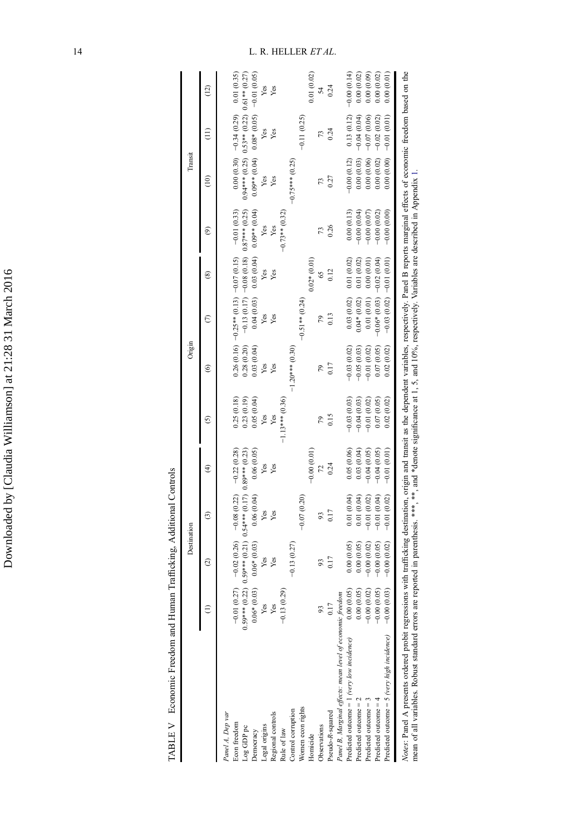| TABLE V Economic Freedom and Human Trafficking, Additional Controls |                              |                                                                     |                           |               |                   |                   |                                            |                                         |                                |                                                  |                                             |               |
|---------------------------------------------------------------------|------------------------------|---------------------------------------------------------------------|---------------------------|---------------|-------------------|-------------------|--------------------------------------------|-----------------------------------------|--------------------------------|--------------------------------------------------|---------------------------------------------|---------------|
|                                                                     |                              | Destination                                                         |                           |               |                   | Origin            |                                            |                                         |                                | Transi                                           |                                             |               |
|                                                                     |                              | $\widehat{\circ}$                                                   | ල                         | ⊕             | ତି                | ⊚                 | ε                                          | ⊛                                       | ම                              | $\widehat{=}$                                    | ĵ                                           | (12)          |
| Panel A, Dep var                                                    |                              |                                                                     |                           |               |                   |                   |                                            |                                         |                                |                                                  |                                             |               |
| Econ freedom                                                        | $-0.01(0.27)$                | $-0.02(0.26)$                                                       | $-0.08(0.22) -0.22(0.28)$ |               | 0.25(0.18)        |                   | $0.26(0.16)$ $-0.25**(0.13)$ $-0.07(0.15)$ |                                         | $-0.01(0.33)$                  |                                                  | $0.00(0.30)$ -0.34 (0.29)                   | 0.01(0.35)    |
| Log GDP pc                                                          |                              | $0.59***$ (0.22) $0.59***$ (0.21) $0.54***$ (0.17) $0.89***$ (0.23) |                           |               | 0.23(0.19)        | 0.28(0.20)        |                                            | $-0.13(0.17) -0.08(0.18) 0.87***(0.25)$ |                                | $0.94***$ (0.25) $0.53**$ (0.22) $0.61**$ (0.27) |                                             |               |
| Democracy                                                           | $0.06* (0.03)$               | $0.06*$ $(0.03)$                                                    | 0.06(0.04)                | 0.06(0.05)    | 0.05(0.04)        | 0.03(0.04)        | 0.04(0.03)                                 |                                         | $0.03(0.04)$ 0.0 <sup>**</sup> |                                                  | $0.09**$ (0.04) $0.08*(0.05)$ $-0.01(0.05)$ |               |
|                                                                     | Yes                          | Yes                                                                 | Yes                       | Yes           | Yes               | Yes               | Yes                                        | Yes                                     | Yes                            | Yes                                              | Yes                                         | Yes           |
| Legal origins<br>Regional controls                                  | Yes                          | Yes                                                                 | Yes                       | Yes           | Yes               | Yes               | Yes                                        | Yes                                     | Yes                            | Yes                                              | Yes                                         | Yes           |
| Rule of law                                                         | $-0.13(0.29)$                |                                                                     |                           |               | $-1.13***$ (0.36) |                   |                                            |                                         | $-0.73**$ (0.32)               |                                                  |                                             |               |
| Control corruption                                                  |                              | $-0.13(0.27)$                                                       |                           |               |                   | $-1.20***$ (0.30) |                                            |                                         |                                | $-0.75***$ (0.25)                                |                                             |               |
| Women econ rights                                                   |                              |                                                                     | $-0.07(0.20)$             |               |                   |                   | $-0.51**$ (0.24)                           |                                         |                                |                                                  | $-0.11(0.25)$                               |               |
| Homicide                                                            |                              |                                                                     |                           | $-0.00(0.01)$ |                   |                   |                                            | $0.02*(0.01)$                           |                                |                                                  |                                             | 0.01(0.02)    |
| Observations                                                        |                              |                                                                     |                           | 72            |                   | 79                |                                            | 65                                      |                                | 73                                               | 13                                          | 54            |
| Pseudo-R-squared                                                    | 0.17                         | 0.17                                                                | 0.17                      | 0.24          | 0.15              | 0.17              | 0.13                                       | 0.12                                    | 0.26                           | 0.27                                             | 0.24                                        | 0.24          |
| Panel B, Marginal effects: mean level of economic freedom           |                              |                                                                     |                           |               |                   |                   |                                            |                                         |                                |                                                  |                                             |               |
| Predicted outcome = $1$ (very low incidence)                        |                              | 0.00(0.05)                                                          | 0.01(0.04)                | 0.05(0.06)    | $-0.03(0.03)$     | 0.03(0.02)        | 0.03(0.02)                                 | 0.01(0.02)                              | 0.00(0.13)                     | $-0.00(0.12)$                                    | 0.13(0.12)                                  | $-0.00(0.14)$ |
| Predicted outcome = 2                                               | $0.00(0.05)$<br>$0.00(0.05)$ | 0.00(0.05)                                                          | 0.01(0.04)                | 0.03(0.04)    | $-0.04(0.03)$     | $-0.05(0.03)$     | $0.04*(0.02)$                              | 0.01(0.02)                              | $-0.00(0.04)$                  | 0.00(0.03)                                       | $-0.04(0.04)$                               | 0.00(0.02)    |
| Predicted outcome $=$ 3                                             | $-0.00(0.02)$                | $-0.00(0.02)$                                                       | $-0.01(0.02)$             | $-0.04(0.05)$ | $-0.01(0.02)$     | $-0.01(0.02)$     | 0.01(0.01)                                 | 0.00(0.01)                              | $-0.00(0.07)$                  | 0.00(0.06)                                       | $-0.07(0.06)$                               | 0.00(0.09)    |
| Predicted outcome $=$ 4                                             | $-0.00(0.05)$                | $-0.00(0.05)$                                                       | $-0.01(0.04)$             | $-0.04(0.05)$ | 0.07(0.05)        | 0.07(0.05)        | $-0.06*$ (0.03) $-0.02$ (0.04)             |                                         | $-0.00(0.02)$                  | 0.00(0.02)                                       | $-0.02(0.02)$                               | 0.00(0.02)    |
| Predicted outcome = $5$ (very high incidence)                       | $-0.00(0.03)$                | $-0.00(0.02)$                                                       | $-0.01(0.02)$             | $-0.01(0.01)$ | 0.02(0.02)        | 0.02(0.02)        | $-0.03(0.02) -0.01(0.01)$                  |                                         | $-0.00(0.00)$                  | 0.00(0.00)                                       | $-0.01(0.01)$                               | 0.00(0.01)    |

Notes: Panel A presents ordered probit regressions with trafficking destination, origin and transit as the dependent variables, respectively. Panel B reports marginal effects of economic freedom based on the mean of all va Notes: Panel A presents ordered probit regressions with trafficking destination, origin and transit as the dependent variables, respectively. Panel B reports marginal effects of economic freedom based on the mean of all variables. Robust standard errors are reported in parenthesis. \*\*\*, \*\*, and \*denote significance at 1, 5, and 10%, respectively. Variables are described in Appendix 1.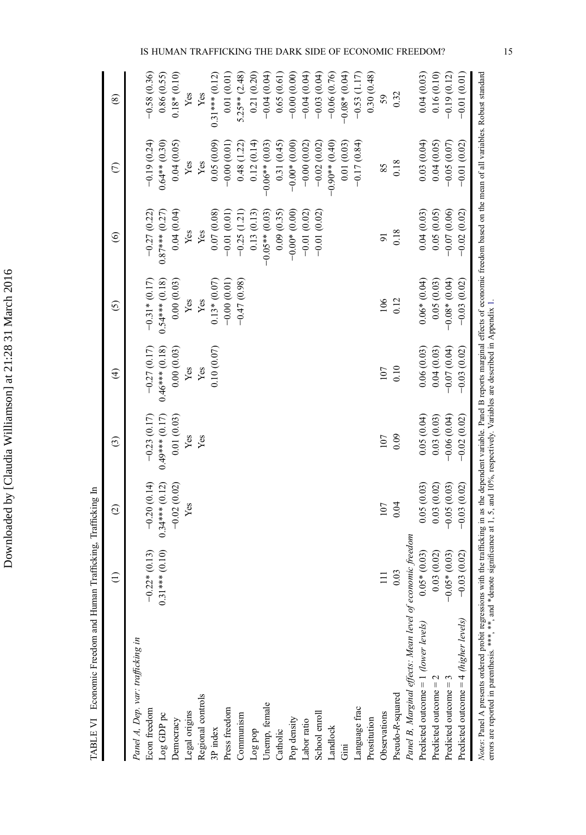| IS                                                                            | $-0.58(0.36)$<br>0.86(0.55)<br>$0.18*(0.10)$<br>0.21(0.20)<br>$0.31***$ (0.12)<br>0.01(0.01)<br>$5.25**$ (2.48)<br>Yes<br>Yes | FREEDOM?<br>0.04(0.03)<br>$-0.00(0.00)$<br>$-0.06(0.76)$<br>0.30(0.48)<br>0.16(0.10)<br>$-0.04(0.04)$<br>$-0.04(0.04)$<br>$-0.03(0.04)$<br>$-0.08*(0.04)$<br>$-0.53(1.17)$<br>$-0.01(0.01)$<br>0.65(0.61)<br>$-0.19(0.12)$<br>0.32<br>59                                                                                                                       |
|-------------------------------------------------------------------------------|-------------------------------------------------------------------------------------------------------------------------------|----------------------------------------------------------------------------------------------------------------------------------------------------------------------------------------------------------------------------------------------------------------------------------------------------------------------------------------------------------------|
| $-0.19(0.24)$                                                                 | $0.64**$ (0.30)<br>0.04(0.05)<br>0.05(0.09)<br>0.12(0.14)<br>$-0.00(0.01)$<br>0.48 (1.22)<br>Yes<br>Yes                       | 0.03(0.04)<br>0.04(0.05)<br>$-0.01(0.02)$<br>$-0.00*(0.00)$<br>$-0.90**$ (0.40)<br>$-0.17(0.84)$<br>$-0.05(0.07)$<br>0.01(0.03)<br>0.31(0.45)<br>$-0.00(0.02)$<br>$-0.06**$ (0.03)<br>$-0.02(0.02)$<br>0.18<br>85                                                                                                                                              |
| $-0.27(0.22)$<br>$0.87***$ (0.27)                                             | 0.04(0.04)<br>$-0.01(0.01)$<br>0.13(0.13)<br>0.07(0.08)<br>$-0.25(1.21)$<br>Yes<br>Yes                                        | $-0.02(0.02)$<br>$-0.00*(0.00)$<br>$-0.07(0.06)$<br>$-0.01(0.02)$<br>$-0.01(0.02)$<br>0.05(0.05)<br>0.09(0.35)<br>0.04(0.03)<br>$-0.05**$ (0.03)<br>0.18<br>$\overline{9}$                                                                                                                                                                                     |
| $-0.31*(0.17)$<br>$0.54***$ $(0.18)$                                          | $-0.47(0.98)$<br>$0.13*(0.07)$<br>$-0.00(0.01)$<br>Yes                                                                        | $0.06*(0.04)$<br>0.05(0.03)<br>$-0.03(0.02)$                                                                                                                                                                                                                                                                                                                   |
| 0.00(0.03)                                                                    | Yes                                                                                                                           | $-0.08*(0.04)$<br>0.12<br>106                                                                                                                                                                                                                                                                                                                                  |
| $-0.27(0.17)$<br>$0.46***$ (0.18)<br>0.00(0.03)<br>Yes                        | 0.10(0.07)<br>Yes                                                                                                             | $-0.03(0.02)$<br>0.06(0.03)<br>0.04(0.03)<br>$-0.07(0.04)$<br>0.10<br>107                                                                                                                                                                                                                                                                                      |
| $0.49***$ (0.17)<br>$-0.23(0.17)$<br>0.01(0.03)                               | Yes<br>Yes                                                                                                                    | $-0.06(0.04)$<br>0.05(0.04)<br>0.03(0.03)<br>$-0.02(0.02)$<br>0.09<br>107                                                                                                                                                                                                                                                                                      |
| $-0.20(0.14)$<br>$0.34***$ (0.12)<br>$-0.02(0.02)$<br>Yes                     |                                                                                                                               | $-0.03(0.02)$<br>0.03(0.02)<br>$-0.05(0.03)$<br>0.05(0.03)<br>0.04<br>107                                                                                                                                                                                                                                                                                      |
| $0.31***$ (0.10)<br>$*(0.13)$<br>$-0.22$                                      |                                                                                                                               | $0.05*(0.03)$<br>0.03(0.02)<br>$-0.05*(0.03)$<br>$-0.03(0.02)$<br>0.03                                                                                                                                                                                                                                                                                         |
| Panel A, Dep. var: trafficking in                                             |                                                                                                                               | Notes: Panel A presents ordered probit regressions with the trafficking in as the dependent variable. Panel B reports marginal effects of economic freedom based on the mean of all variables. Robust standard<br>Panel B, Marginal effects: Mean level of economic freedom<br>Predicted outcome = $4$ (higher levels)<br>Predicted outcome = 1 (lower levels) |
| Regional controls<br>Econ freedom<br>Legal origins<br>Log GDP pc<br>Democracy | Press freedom<br>Communism<br>3P index<br>Tog bob                                                                             | Predicted outcome $= 2$<br>Predicted outcome $=$ 3<br>Pseudo-R-squared<br>Unemp, female<br>Language frac<br>School enroll<br>Observations<br>Pop density<br>Prostitution<br>Labor ratio<br>Landlock<br>Catholic<br>Ξ.                                                                                                                                          |

TABLE VI Economic Freedom and Human Trafficking, Trafficking In TABLE VI Economic Freedom and Human Trafficking, Trafficking In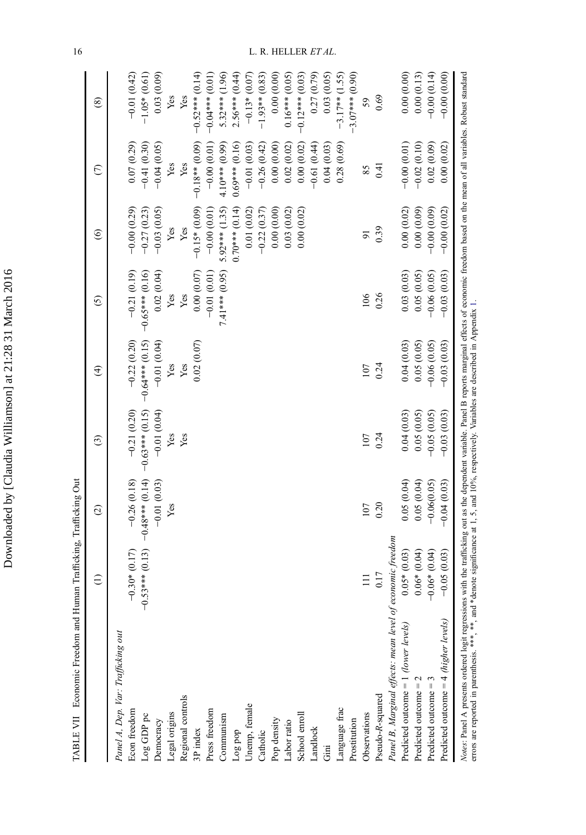| l       |
|---------|
|         |
|         |
|         |
|         |
|         |
|         |
|         |
|         |
|         |
|         |
|         |
|         |
|         |
|         |
|         |
|         |
|         |
|         |
|         |
|         |
|         |
| ;<br>CC |
|         |
|         |
| i       |
|         |
| ļ       |
|         |
|         |
| I       |
| j       |
| I<br>١  |
|         |
|         |
|         |
|         |
|         |
|         |
|         |
|         |
|         |
|         |
|         |
|         |
|         |
|         |
|         |
|         |
|         |
|         |
|         |
|         |
|         |
|         |
|         |
|         |
| I       |
|         |
|         |
|         |
|         |
| i       |
|         |
|         |
| j       |
|         |
|         |
|         |
|         |
|         |
|         |
|         |
|         |
|         |
|         |
|         |
|         |
|         |
|         |
|         |
|         |
|         |
| l       |

TABLE VII Economic Freedom and Human Trafficking, Trafficking Out TABLE VII Economic Freedom and Human Trafficking, Trafficking Out

|                                                                                                                                                                                                                                | $\widehat{\Xi}$       | $\odot$           | $\widehat{c}$     | $\widehat{\mathfrak{t}}$ | $\widehat{c}$     | $\widehat{\mathbf{e}}$ | $\epsilon$       | $\circledast$      |
|--------------------------------------------------------------------------------------------------------------------------------------------------------------------------------------------------------------------------------|-----------------------|-------------------|-------------------|--------------------------|-------------------|------------------------|------------------|--------------------|
| Panel A, Dep. Var: Trafficking out                                                                                                                                                                                             |                       |                   |                   |                          |                   |                        |                  |                    |
| Econ freedom                                                                                                                                                                                                                   | $-0.30*(0.17)$        | $-0.26(0.18)$     | $-0.21(0.20)$     | $-0.22(0.20)$            | $-0.21(0.19)$     | $-0.00(0.29)$          | 0.07(0.29)       | $-0.01(0.42)$      |
| $Log$ GDP $pc$                                                                                                                                                                                                                 | $0.53***$ (0.13)<br>T | $-0.48***$ (0.14) | $-0.63***$ (0.15) | $-0.64***$ (0.15)        | $-0.65***$ (0.16) | $-0.27(0.23)$          | $-0.41(0.30)$    | $-1.05*(0.61)$     |
| Democracy                                                                                                                                                                                                                      |                       | $-0.01(0.03)$     | $-0.01(0.04)$     | $-0.01(0.04)$            | 0.02(0.04)        | $-0.03(0.05)$          | $-0.04(0.05)$    | 0.03(0.09)         |
| Legal origins                                                                                                                                                                                                                  |                       | Yes               | Yes               | Yes                      | Yes               | Yes                    | Yes              | Yes                |
| Regional controls                                                                                                                                                                                                              |                       |                   | Yes               | Yes                      | Yes               | Yes                    | Yes              | Yes                |
| 3P index                                                                                                                                                                                                                       |                       |                   |                   | 0.02(0.07)               | (0.000000)        | $-0.15*(0.09)$         | $-0.18**$ (0.09) | $-0.52***$ (0.14)  |
| Press freedom                                                                                                                                                                                                                  |                       |                   |                   |                          | $-0.01(0.01)$     | $-0.00(0.01)$          | $-0.00(0.01)$    | $-0.04***$ (0.0.1) |
| Communism                                                                                                                                                                                                                      |                       |                   |                   |                          | 7.41*** (0.95)    | $5.92***$ (1.35)       | 4.10*** (0.99)   | $5.32***$ (1.96)   |
| Log pop                                                                                                                                                                                                                        |                       |                   |                   |                          |                   | $0.70***$ (0.14)       | $0.69***$ (0.16) | $2.56***$ (0.44)   |
| Unemp, female                                                                                                                                                                                                                  |                       |                   |                   |                          |                   | 0.01(0.02)             | $-0.01(0.03)$    | $-0.13*(0.07)$     |
| Catholic                                                                                                                                                                                                                       |                       |                   |                   |                          |                   | $-0.22(0.37)$          | $-0.26(0.42)$    | $-1.93**$ (0.83)   |
| Pop density                                                                                                                                                                                                                    |                       |                   |                   |                          |                   | 0.00(0.00)             | 0.00(0.00)       | 0.00(0.00)         |
| Labor ratio                                                                                                                                                                                                                    |                       |                   |                   |                          |                   | 0.03(0.02)             | 0.02(0.02)       | $0.16***$ (0.05)   |
| School enroll                                                                                                                                                                                                                  |                       |                   |                   |                          |                   | 0.00(0.02)             | 0.00(0.02)       | $-0.12***$ (0.03)  |
| Landlock                                                                                                                                                                                                                       |                       |                   |                   |                          |                   |                        | $-0.61(0.44)$    | 0.27(0.79)         |
| $\rm Gini$                                                                                                                                                                                                                     |                       |                   |                   |                          |                   |                        | 0.04(0.03)       | 0.03(0.05)         |
| Language frac                                                                                                                                                                                                                  |                       |                   |                   |                          |                   |                        | 0.28(0.69)       | $-3.17***$ (1.55)  |
| Prostitution                                                                                                                                                                                                                   |                       |                   |                   |                          |                   |                        |                  | $-3.07***(0.90)$   |
| Observations                                                                                                                                                                                                                   | $\equiv$              | 107               | 107               | 107                      | 106               | $\overline{9}$         | 85               | 59                 |
| Pseudo-R-squared                                                                                                                                                                                                               | 0.17                  | 0.20              | 0.24              | 0.24                     | 0.26              | 0.39                   | 0.41             | 0.69               |
| Panel B, Marginal effects: mean level of economic freedom                                                                                                                                                                      |                       |                   |                   |                          |                   |                        |                  |                    |
| Predicted outcome = $1$ (lower levels)                                                                                                                                                                                         | $0.05*(0.03)$         | 0.05(0.04)        | 0.04(0.03)        | 0.04(0.03)               | 0.03(0.03)        | 0.00(0.02)             | $-0.00(0.01)$    | 0.00(0.00)         |
| Predicted outcome $= 2$                                                                                                                                                                                                        | $0.06*(0.04)$         | 0.05(0.04)        | 0.05(0.05)        | 0.05(0.05)               | 0.05(0.05)        | 0.00(0.09)             | $-0.02(0.10)$    | 0.00(0.13)         |
| Predicted outcome $=$ 3                                                                                                                                                                                                        | $-0.06*(0.04)$        | $-0.06(0.05)$     | $-0.05(0.05)$     | $-0.06(0.05)$            | $-0.06(0.05)$     | $-0.00(0.09)$          | 0.02(0.09)       | $-0.00(0.14)$      |
| Predicted outcome = $4$ (higher levels)                                                                                                                                                                                        | $-0.05(0.03)$         | $-0.04(0.03)$     | $-0.03(0.03)$     | $-0.03(0.03)$            | $-0.03(0.03)$     | $-0.00(0.02)$          | 0.00(0.02)       | $-0.00(0.00)$      |
| Notes: Panel A presents ordered logit regressions with the trafficking out as the dependent variable. Panel B reports marginal effects of economic freedom based on the mean of all variables. Robust standard errors are repo |                       |                   |                   |                          |                   |                        |                  |                    |

16 L. R. HELLER ET AL.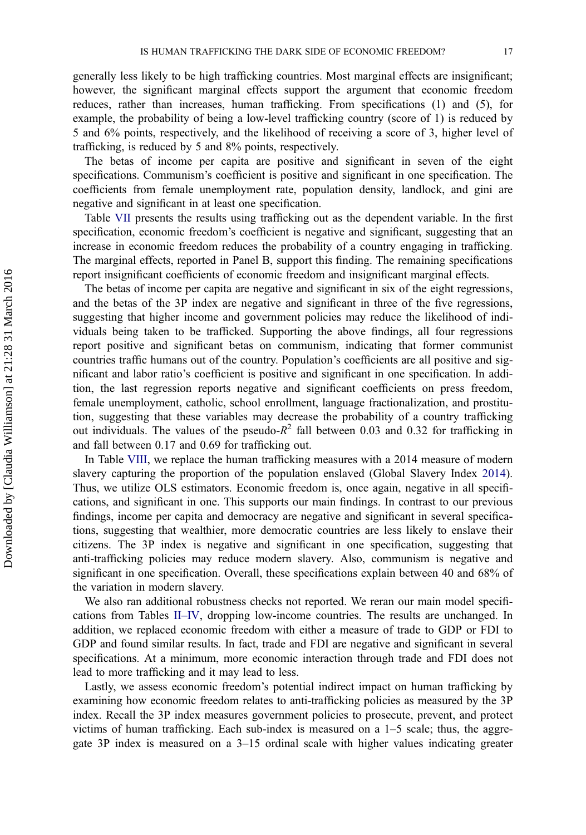generally less likely to be high trafficking countries. Most marginal effects are insignificant; however, the significant marginal effects support the argument that economic freedom reduces, rather than increases, human trafficking. From specifications (1) and (5), for example, the probability of being a low-level trafficking country (score of 1) is reduced by 5 and 6% points, respectively, and the likelihood of receiving a score of 3, higher level of trafficking, is reduced by 5 and 8% points, respectively.

The betas of income per capita are positive and significant in seven of the eight specifications. Communism's coefficient is positive and significant in one specification. The coefficients from female unemployment rate, population density, landlock, and gini are negative and significant in at least one specification.

Table VII presents the results using trafficking out as the dependent variable. In the first specification, economic freedom's coefficient is negative and significant, suggesting that an increase in economic freedom reduces the probability of a country engaging in trafficking. The marginal effects, reported in Panel B, support this finding. The remaining specifications report insignificant coefficients of economic freedom and insignificant marginal effects.

The betas of income per capita are negative and significant in six of the eight regressions, and the betas of the 3P index are negative and significant in three of the five regressions, suggesting that higher income and government policies may reduce the likelihood of individuals being taken to be trafficked. Supporting the above findings, all four regressions report positive and significant betas on communism, indicating that former communist countries traffic humans out of the country. Population's coefficients are all positive and significant and labor ratio's coefficient is positive and significant in one specification. In addition, the last regression reports negative and significant coefficients on press freedom, female unemployment, catholic, school enrollment, language fractionalization, and prostitution, suggesting that these variables may decrease the probability of a country trafficking out individuals. The values of the pseudo- $R^2$  fall between 0.03 and 0.32 for trafficking in and fall between 0.17 and 0.69 for trafficking out.

In Table VIII, we replace the human trafficking measures with a 2014 measure of modern slavery capturing the proportion of the population enslaved (Global Slavery Index 2014). Thus, we utilize OLS estimators. Economic freedom is, once again, negative in all specifications, and significant in one. This supports our main findings. In contrast to our previous findings, income per capita and democracy are negative and significant in several specifications, suggesting that wealthier, more democratic countries are less likely to enslave their citizens. The 3P index is negative and significant in one specification, suggesting that anti-trafficking policies may reduce modern slavery. Also, communism is negative and significant in one specification. Overall, these specifications explain between 40 and 68% of the variation in modern slavery.

We also ran additional robustness checks not reported. We reran our main model specifications from Tables II–IV, dropping low-income countries. The results are unchanged. In addition, we replaced economic freedom with either a measure of trade to GDP or FDI to GDP and found similar results. In fact, trade and FDI are negative and significant in several specifications. At a minimum, more economic interaction through trade and FDI does not lead to more trafficking and it may lead to less.

Lastly, we assess economic freedom's potential indirect impact on human trafficking by examining how economic freedom relates to anti-trafficking policies as measured by the 3P index. Recall the 3P index measures government policies to prosecute, prevent, and protect victims of human trafficking. Each sub-index is measured on a 1–5 scale; thus, the aggregate 3P index is measured on a 3–15 ordinal scale with higher values indicating greater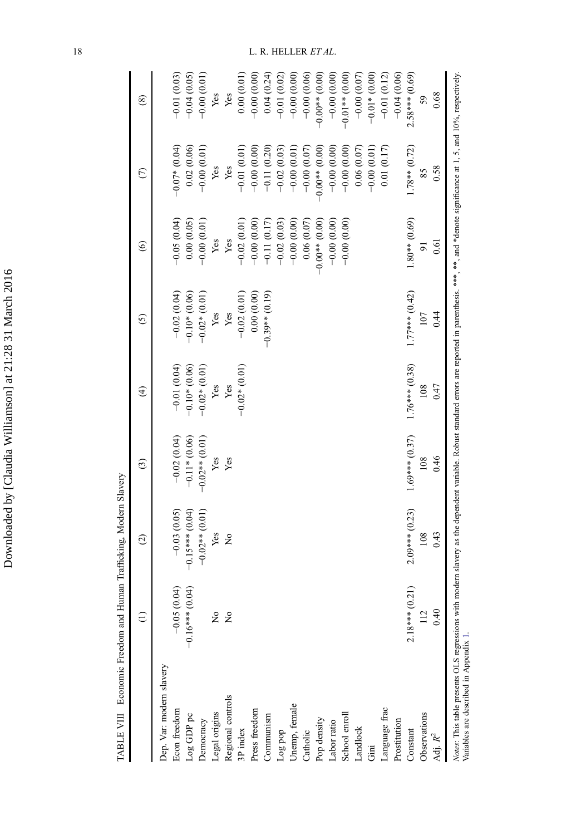| $\Lambda$ 15 80.10 to<br>コンコンコ       |
|--------------------------------------|
| $\sim$ $\sim$ $\sim$<br>1<br>,,,,,,, |
| $\overline{a}$<br>į                  |
| $\overline{a}$<br>ſ                  |

TABLE VIII Economic Freedom and Human Trafficking, Modern Slavery TABLE VIII Economic Freedom and Human Trafficking, Modern Slavery

|                                                                                                                                                                                                                                                       | $\widehat{\Xi}$           | $\odot$           | $\widehat{c}$    | $\widehat{\mathcal{F}}$ | $\odot$          | $\widehat{\mathbf{e}}$ | $\widehat{C}$    | $\circledast$    |
|-------------------------------------------------------------------------------------------------------------------------------------------------------------------------------------------------------------------------------------------------------|---------------------------|-------------------|------------------|-------------------------|------------------|------------------------|------------------|------------------|
| Dep. Var: modern slavery                                                                                                                                                                                                                              |                           |                   |                  |                         |                  |                        |                  |                  |
| Econ freedom                                                                                                                                                                                                                                          | $-0.05(0.04)$             | $-0.03(0.05)$     | $-0.02(0.04)$    | $-0.01(0.04)$           | $-0.02(0.04)$    | $-0.05(0.04)$          | $-0.07*(0.04)$   | $-0.01(0.03)$    |
| Log GDP pc                                                                                                                                                                                                                                            | 0.04<br>$-0.16***$ (0)    | $-0.15***$ (0.04) | $-0.11*(0.06)$   | $-0.10*$ (0.06)         | $-0.10*$ (0.06)  | 0.00(0.05)             | 0.02(0.06)       | $-0.04(0.05)$    |
| Democracy                                                                                                                                                                                                                                             |                           | $-0.02**$ (0.01)  | $-0.02**$ (0.01) | $-0.02*(0.01)$          | $-0.02*(0.01)$   | $-0.00(0.01)$          | $-0.00(0.01)$    | $-0.00(0.01)$    |
|                                                                                                                                                                                                                                                       | $\mathsf{S}^{\mathsf{o}}$ | Yes               | Yes              | Yes                     | Yes              | Yes                    | Yes              | Yes              |
| Legal origins<br>Regional controls                                                                                                                                                                                                                    | $\tilde{z}$               | $\frac{1}{2}$     | Yes              | Yes                     | Yes              | Yes                    | Yes              | Yes              |
| 3P index                                                                                                                                                                                                                                              |                           |                   |                  | $-0.02*(0.01)$          | $-0.02(0.01)$    | $-0.02(0.01)$          | $-0.01(0.01)$    | 0.00(0.01)       |
| Press freedom                                                                                                                                                                                                                                         |                           |                   |                  |                         | 0.00(0.00)       | $-0.00(0.00)$          | $-0.00(0.00)$    | $-0.00(0.00)$    |
| Communism                                                                                                                                                                                                                                             |                           |                   |                  |                         | $-0.39**$ (0.19) | $-0.11(0.17)$          | $-0.11(0.20)$    | 0.04(0.24)       |
| Log pop                                                                                                                                                                                                                                               |                           |                   |                  |                         |                  | $-0.02(0.03)$          | $-0.02(0.03)$    | $-0.01(0.02)$    |
| Unemp, female                                                                                                                                                                                                                                         |                           |                   |                  |                         |                  | $-0.00(0.00)$          | $-0.00(0.01)$    | $-0.00(0.00)$    |
| Catholic                                                                                                                                                                                                                                              |                           |                   |                  |                         |                  | 0.06(0.07)             | $-0.00(0.07)$    | $-0.00(0.06)$    |
| Pop density                                                                                                                                                                                                                                           |                           |                   |                  |                         |                  | $-0.00*00*00$          | $-0.00**$ (0.00) | $-0.00**$ (0.00) |
| Labor ratio                                                                                                                                                                                                                                           |                           |                   |                  |                         |                  | $-0.00(0.00)$          | $-0.00(0.00)$    | $-0.00(0.00)$    |
| School enroll                                                                                                                                                                                                                                         |                           |                   |                  |                         |                  | $-0.00(0.00)$          | $-0.00(0.00)$    | $-0.01**$ (0.00) |
| Landlock                                                                                                                                                                                                                                              |                           |                   |                  |                         |                  |                        | 0.06(0.07)       | $-0.00(0.07)$    |
| Gini                                                                                                                                                                                                                                                  |                           |                   |                  |                         |                  |                        | $-0.00(0.01)$    | $-0.01*$ (0.00)  |
| Language frac                                                                                                                                                                                                                                         |                           |                   |                  |                         |                  |                        | 0.01(0.17)       | $-0.01(0.12)$    |
| Prostitution                                                                                                                                                                                                                                          |                           |                   |                  |                         |                  |                        |                  | $-0.04(0.06)$    |
| Constant                                                                                                                                                                                                                                              | (12)<br>$2.18***$ (       | $2.09***$ (0.23)  | $1.69***$ (0.37) | $1.76***$ (0.38)        | $1.77***$ (0.42) | $1.80**$ (0.69)        | $1.78**$ (0.72)  | $2.58***$ (0.69) |
| Observations                                                                                                                                                                                                                                          | 112                       | 108               | 108              | 108                     | 107              | 51                     | 85               | 59               |
| Adj. $\mathbb{R}^2$                                                                                                                                                                                                                                   | 0.40                      | 0.43              | 0.46             | 0.47                    | 0.44             | 0.61                   | 0.58             | 0.68             |
| Notes: This table presents OLS regressions with modern slavery as the dependent variable. Robust standard errors are reported in parenthesis. ***, and *denote significance at 1, 5, and 10%, respectively.<br>Variables are described in Appendix 1. |                           |                   |                  |                         |                  |                        |                  |                  |

18 L. R. HELLER ET AL.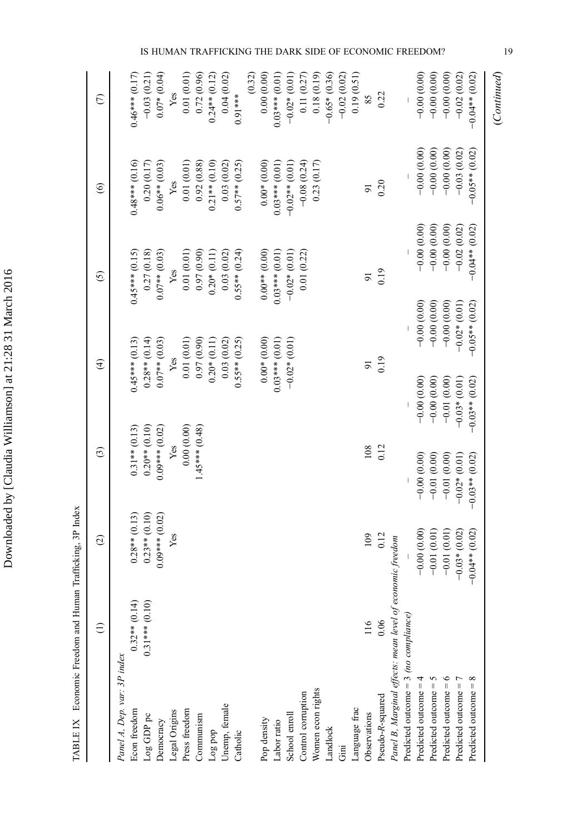| י                                         |
|-------------------------------------------|
|                                           |
|                                           |
| c<br>C<br>l                               |
| ļ<br>ī                                    |
| ١<br>I<br>ׅ֪ׅ֪ׅ֡֡֬֝֬֝֬֝֝֬֝<br>ı<br>I<br>ı |
| ļ                                         |
|                                           |
| l<br>į                                    |
|                                           |
| ֕                                         |
|                                           |
| ļ                                         |

TABLE IX Economic Freedom and Human Trafficking, 3P Index TABLE IX Economic Freedom and Human Trafficking, 3P Index

|                                                           | $\widehat{\Xi}$  | $\widehat{c}$    | $\widehat{c}$    |                  | $\widehat{\mathcal{F}}$ | $\odot$          | $\odot$          | $\epsilon$          |
|-----------------------------------------------------------|------------------|------------------|------------------|------------------|-------------------------|------------------|------------------|---------------------|
| Panel A, Dep. var: 3P index                               |                  |                  |                  |                  |                         |                  |                  |                     |
| Econ freedom                                              | $0.32**$ (0.14)  | $0.28**$ (0.13)  | $0.31**$ (0.13)  |                  | $0.45***$ (0.13)        | $0.45***$ (0.15) | $0.48***$ (0.16) | $0.46***$ (0.17)    |
| Log GDP pc                                                | $0.31***$ (0.10) | $0.23**$ (0.10)  | $0.20**$ (0.10)  |                  | $0.28**$ (0.14)         | 0.27(0.18)       | 0.20(0.17)       | $-0.03(0.21)$       |
| Democracy                                                 |                  | $0.09***$ (0.02) | $0.09***$ (0.02) |                  | $0.07**$ (0.03)         | $0.07**$ (0.03)  | $0.06**$ (0.03)  | $0.07*(0.04)$       |
| Legal Origins                                             |                  | Yes              | Yes              |                  | Yes                     | Yes              | Yes              | Yes                 |
| Press freedom                                             |                  |                  | 0.00(0.00)       |                  | 0.01(0.01)              | 0.01(0.01)       | 0.01(0.01)       | 0.01(0.01)          |
| Communism                                                 |                  |                  | $1.45***$ (0.48) |                  | (0.97)(0.90)            | 0.97(0.90)       | 0.92(0.88)       | 0.72(0.96)          |
| Log pop                                                   |                  |                  |                  |                  | $0.20*(0.11)$           | $0.20*(0.11)$    | $0.21**$ (0.10)  | $0.24**$ (0.12)     |
| Unemp, female                                             |                  |                  |                  |                  | 0.03(0.02)              | 0.03(0.02)       | 0.03(0.02)       | 0.04(0.02)          |
| Catholic                                                  |                  |                  |                  |                  | $0.55***(0.25)$         | $0.55**$ (0.24)  | $0.57**$ (0.25)  | $0.91***$           |
|                                                           |                  |                  |                  |                  |                         |                  |                  | (0.32)              |
| Pop density                                               |                  |                  |                  |                  | $0.00*(0.00)$           | $0.00**$ (0.00)  | $0.00*(0.00)$    | 0.00(0.00)          |
| abor ratio                                                |                  |                  |                  |                  | $0.03***$ (0.01)        | $0.03***$ (0.01) | $0.03***$ (0.01) | $0.03***$ (0.01)    |
| School enroll                                             |                  |                  |                  |                  | $-0.02*(0.01)$          | $-0.02*(0.01)$   | $-0.02**$ (0.01) | $-0.02*(0.01)$      |
| Control corruption                                        |                  |                  |                  |                  |                         | 0.01(0.22)       | $-0.08(0.24)$    | 0.11(0.27)          |
| Women econ rights                                         |                  |                  |                  |                  |                         |                  | 0.23(0.17)       | 0.18(0.19)          |
| <b>Landlock</b>                                           |                  |                  |                  |                  |                         |                  |                  | $-0.65*(0.36)$      |
| $\ddot{5}$                                                |                  |                  |                  |                  |                         |                  |                  | $-0.02(0.02)$       |
| anguage frac                                              |                  |                  |                  |                  |                         |                  |                  | 0.19(0.51)          |
| Observations                                              | 116              | 109              | 108              |                  | $\overline{5}$          | 5                | $\overline{9}$   | 85                  |
| Pseudo-R-squared                                          | 0.06             | 0.12             | 0.12             |                  | 0.19                    | 0.19             | 0.20             | 0.22                |
| Panel B, Marginal effects: mean level of economic freedom |                  |                  |                  |                  |                         |                  |                  |                     |
| Predicted outcome = $3$ (no compliance)                   |                  |                  |                  |                  |                         |                  |                  |                     |
| Predicted outcome =                                       |                  | $-0.00(0.00)$    | $-0.00(0.00)$    | $-0.00(0.00)$    | $-0.00(0.00)$           | $-0.00(0.00)$    | $-0.00(0.00)$    | $-0.00(0.00)$       |
| Predicted outcome $=$ 5                                   |                  | $-0.01(0.01)$    | $-0.01(0.00)$    | $-0.00(0.00)$    | $-0.00(0.00)$           | $-0.00(0.00)$    | $-0.00(0.00)$    | $-0.00(0.00)$       |
| Predicted outcome $= 6$                                   |                  | $-0.01(0.01)$    | $-0.01(0.00)$    | $-0.01(0.00)$    | $-0.00(0.00)$           | $-0.00(0.00)$    | $-0.00(0.00)$    | $-0.00(0.00)$       |
| Predicted outcome $= 7$                                   |                  | $-0.03*(0.02)$   | $-0.02*(0.01)$   | $-0.03*(0.01)$   | $-0.02*(0.01)$          | $-0.02(0.02)$    | $-0.03(0.02)$    | $-0.02(0.02)$       |
| $^{\circ}$<br>Predicted outcome =                         |                  | $-0.04**$ (0.02) | $-0.03**$ (0.02) | $-0.03**$ (0.02) | $-0.05**$ (0.02)        | $-0.04**$ (0.02) | $-0.05**$ (0.02) | $-0.01$ $*$ $+0.02$ |
|                                                           |                  |                  |                  |                  |                         |                  |                  | (Continued)         |

IS HUMAN TRAFFICKING THE DARK SIDE OF ECONOMIC FREEDOM? 19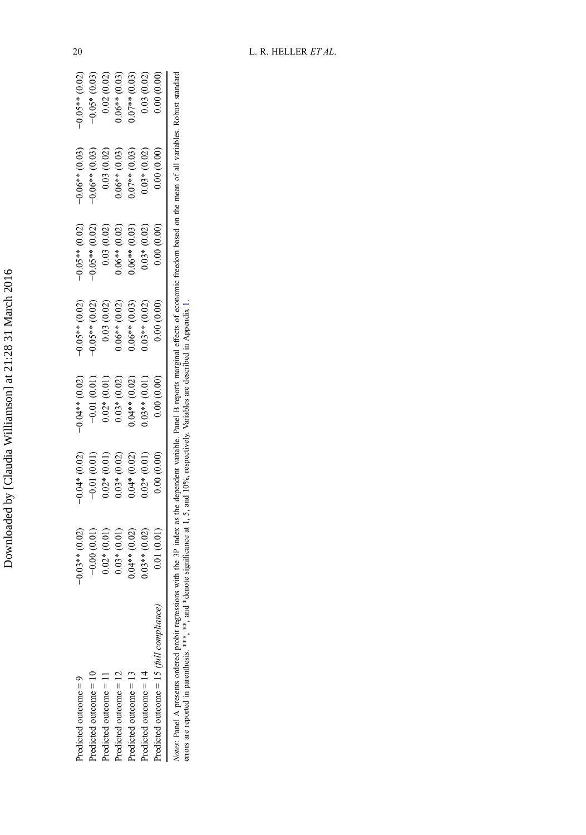| l      |
|--------|
|        |
|        |
|        |
|        |
|        |
|        |
|        |
|        |
|        |
|        |
| ہ<br>و |
|        |
|        |
|        |
|        |
|        |
|        |
|        |
| ؚ<br>ا |
| ١<br>I |
|        |
|        |
|        |
|        |
|        |
|        |
|        |
|        |
|        |
|        |
|        |
|        |
|        |
|        |
| .      |
|        |
|        |
|        |
|        |
|        |
|        |
|        |
| i      |
|        |
|        |
|        |
| Į      |
|        |
|        |
|        |
|        |
|        |
|        |
|        |
|        |
|        |
|        |
|        |
|        |
| I      |

| 0.00(0.00)          | 0.00(0.00)         | 0.00(0.00)          | 0.00(0.00)          | 0.00(0.00)                | 0.00(0.00)            | (0.01)<br>0.01(      | Predicted outcome = 15 (full compliance) |
|---------------------|--------------------|---------------------|---------------------|---------------------------|-----------------------|----------------------|------------------------------------------|
| 0.03(0.02)          | $0.03*(0.02)$      | $0.03*(0.02)$       | $0.03**$ (0.02)     | $0.01$ ** $(0.01)$        | (0.01)<br>$0.02*$     | (0.02)<br>$.8^{***}$ | Predicted outcome $= 14$                 |
| $0.07**$ (0.03)     | $0.07**$ (0.03)    | $0.06**$ (0.03)     | $0.06**$ (0.03)     | $0.01$ $(0.02)$           | (0.02)<br>$0.04*$     | (0.02)<br>$0.04**$   | Predicted outcome $= 13$                 |
| $0.06**$ (0.03)     | (0.03)<br>$0.06**$ | (0.02)<br>$0.06**$  | $0.06**$ (0.02)     | (0.02)<br>$0.03*$         | (0.02)<br>$0.03*$     | (10.01)<br>$0.03*$   | Predicted outcome = 12                   |
| 0.02(0.02)          | (0.02)<br>0.03(    | (0.02)<br>0.03      | (0.02)<br>0.03      | (0.01)<br>$0.02*$         | (0.01)<br>$0.02 * 6$  | (0.01)<br>$0.02*$    | Predicted outcome = 11                   |
| (0.03)<br>$-0.05*$  | $-0.06**$ (0.03)   | (0.02)<br>$-0.05**$ | (0.02)<br>$-0.05**$ | $-0.01(0.01)$             | (0.01)<br>$-0.01$     | (0.01)<br>$-0.00$    | Predicted outcome $= 10$                 |
| (0.02)<br>$-0.05**$ | $-0.06**$ (0.03)   | (0.02)<br>$-0.05**$ | (0.02)<br>$-0.05**$ | $0.01$ $*$ $*$ $+$ $0.02$ | (0.02)<br>$-1*10.04*$ | (0.02)<br>$-0.03**$  | Predicted outcome $=$                    |
|                     |                    |                     |                     |                           |                       |                      |                                          |

Notes: Panel A presents ordered probit regressions with the 3P index as the dependent variable. Panel B reports marginal effects of economic freedom based on the mean of all variables. Robust standard errors are reported i Notes: Panel A presents ordered probit regressions with the 3P index as the dependent variable. Panel B reports marginal effects of economic freedom based on the mean of all variables. Robust standard errors are reported in parenthesis. \*\*\*, and \*denote significance at 1, 5, and 10%, respectively. Variables are described in Appendix 1.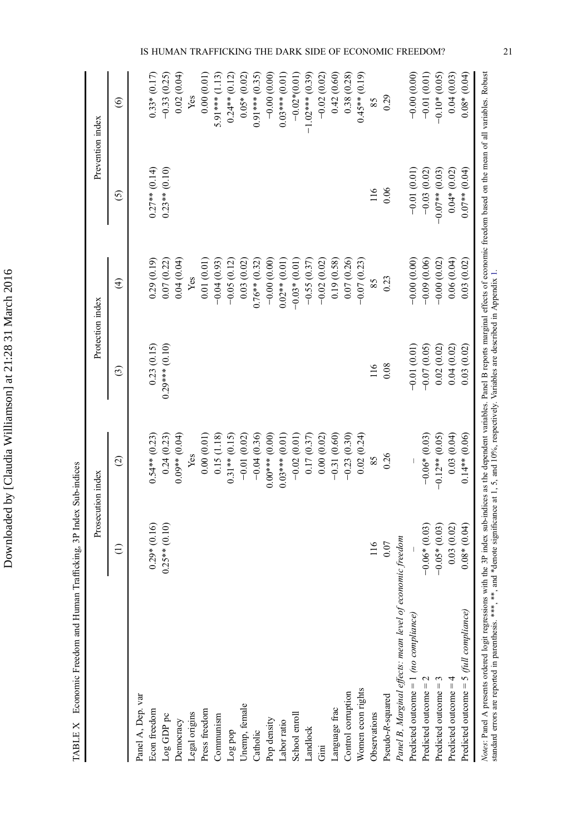|                                                                                                                                                                                                                                                                    | Prosecution index |                   | Protection index                                                                                  |                 | Prevention index |                  |
|--------------------------------------------------------------------------------------------------------------------------------------------------------------------------------------------------------------------------------------------------------------------|-------------------|-------------------|---------------------------------------------------------------------------------------------------|-----------------|------------------|------------------|
|                                                                                                                                                                                                                                                                    | $\widehat{\Xi}$   | $\widehat{c}$     | ⊙                                                                                                 | $\bigoplus$     | $\odot$          | $\circledcirc$   |
| Panel A, Dep. var                                                                                                                                                                                                                                                  |                   |                   |                                                                                                   |                 |                  |                  |
| Econ freedom                                                                                                                                                                                                                                                       | $0.29*(0.16)$     | $0.54**$ $(0.23)$ | 0.23(0.15)                                                                                        | 0.29(0.19)      | $0.27**$ (0.14)  | $0.33*(0.17)$    |
| Log GDP pc                                                                                                                                                                                                                                                         | $0.25**$ (0.10)   | 0.24(0.23)        | $0.29***$ (0.10)                                                                                  | 0.07(0.22)      | $0.23**$ (0.10)  | $-0.33(0.25)$    |
| Democracy                                                                                                                                                                                                                                                          |                   | $0.09**$ (0.04)   |                                                                                                   | 0.04(0.04)      |                  | 0.02(0.04)       |
| Legal origins                                                                                                                                                                                                                                                      |                   | Yes               |                                                                                                   | Yes             |                  | Yes              |
| Press freedom                                                                                                                                                                                                                                                      |                   | 0.00(0.01)        |                                                                                                   | 0.01(0.01)      |                  | 0.00(0.01)       |
| Communism                                                                                                                                                                                                                                                          |                   | 0.15(1.18)        |                                                                                                   | $-0.04(0.93)$   |                  | $5.91***$ (1.13) |
| Log pop                                                                                                                                                                                                                                                            |                   | $0.31**$ (0.15)   |                                                                                                   | $-0.05(0.12)$   |                  | $0.24**$ (0.12)  |
| Unemp, female                                                                                                                                                                                                                                                      |                   | $-0.01(0.02)$     |                                                                                                   | 0.03(0.02)      |                  | $0.05*$ (0.02)   |
| Catholic                                                                                                                                                                                                                                                           |                   | $-0.04(0.36)$     |                                                                                                   | $0.76**$ (0.32) |                  | $0.91***$ (0.35) |
| Pop density                                                                                                                                                                                                                                                        |                   | $0.00***$ (0.00)  |                                                                                                   | $-0.00(0.00)$   |                  | $-0.00(0.00)$    |
| Labor ratio                                                                                                                                                                                                                                                        |                   | $0.03***$ (0.01)  |                                                                                                   | $0.02**$ (0.01) |                  | $0.03***$ (0.01) |
| School enroll                                                                                                                                                                                                                                                      |                   | $-0.02(0.01)$     |                                                                                                   | $-0.03*$ (0.01) |                  | $-0.02*(0.01)$   |
| Landlock                                                                                                                                                                                                                                                           |                   | 0.17(0.37)        |                                                                                                   | $-0.55(0.37)$   |                  | $-1.02***(0.39)$ |
| Gini                                                                                                                                                                                                                                                               |                   | 0.00(0.02)        |                                                                                                   | $-0.02(0.02)$   |                  | $-0.02(0.02)$    |
| Language frac                                                                                                                                                                                                                                                      |                   | $-0.31(0.60)$     |                                                                                                   | 0.19(0.58)      |                  | 0.42(0.60)       |
| Control corruption                                                                                                                                                                                                                                                 |                   | $-0.23(0.30)$     |                                                                                                   | 0.07(0.26)      |                  | 0.38 (0.28)      |
| Women econ rights                                                                                                                                                                                                                                                  |                   | 0.02(0.24)        |                                                                                                   | $-0.07(0.23)$   |                  | $0.45**$ (0.19)  |
| Observations                                                                                                                                                                                                                                                       | 116               | 85                | 116                                                                                               | 85              | 116              | 85               |
| Pseudo-R-squared                                                                                                                                                                                                                                                   | $0.07\,$          | 0.26              | 0.08                                                                                              | 0.23            | 0.06             | 0.29             |
| Panel B, Marginal effects: mean level of economic freedom                                                                                                                                                                                                          |                   |                   |                                                                                                   |                 |                  |                  |
| Predicted outcome = $1$ (no compliance)                                                                                                                                                                                                                            |                   |                   | $-0.01(0.01)$                                                                                     | $-0.00(0.00)$   | $-0.01(0.01)$    | $-0.00(0.00)$    |
| Predicted outcome $= 2$                                                                                                                                                                                                                                            | $-0.06*(0.03)$    | $-0.06*$ (0.03)   | $-0.07(0.05)$                                                                                     | $-0.09(0.06)$   | $-0.03(0.02)$    | $-0.01(0.01)$    |
| Predicted outcome $=$ 3                                                                                                                                                                                                                                            | $-0.05*(0.03)$    | $-0.12**$ (0.05)  | 0.02(0.02)                                                                                        | $-0.00(0.02)$   | $-0.07**$ (0.03) | $-0.10*$ (0.05)  |
| Predicted outcome $=$ 4                                                                                                                                                                                                                                            | 0.03(0.02)        | 0.03(0.04)        | 0.04(0.02)                                                                                        | 0.06(0.04)      | $0.04*(0.02)$    | 0.04(0.03)       |
| Predicted outcome = $5$ (full compliance)                                                                                                                                                                                                                          | $0.08*(0.04)$     | $0.14**$ (0.06)   | 0.03(0.02)                                                                                        | 0.03(0.02)      | $0.07**$ (0.04)  | $0.08*(0.04)$    |
| Notes: Panel A presents ordered logit regressions with the 3P index sub-indices as the dependent variables. Panel B reports marginal effects of economic freedom based on the mean of all variables. Robust<br>standard errors are reported in parenthesis. *** ** |                   |                   | , and *denote significance at 1, 5, and 10%, respectively. Variables are described in Appendix 1. |                 |                  |                  |
|                                                                                                                                                                                                                                                                    |                   |                   |                                                                                                   |                 |                  |                  |

TABLE X Economic Freedom and Human Trafficking, 3P Index Sub-indices TABLE X Economic Freedom and Human Trafficking, 3P Index Sub-indices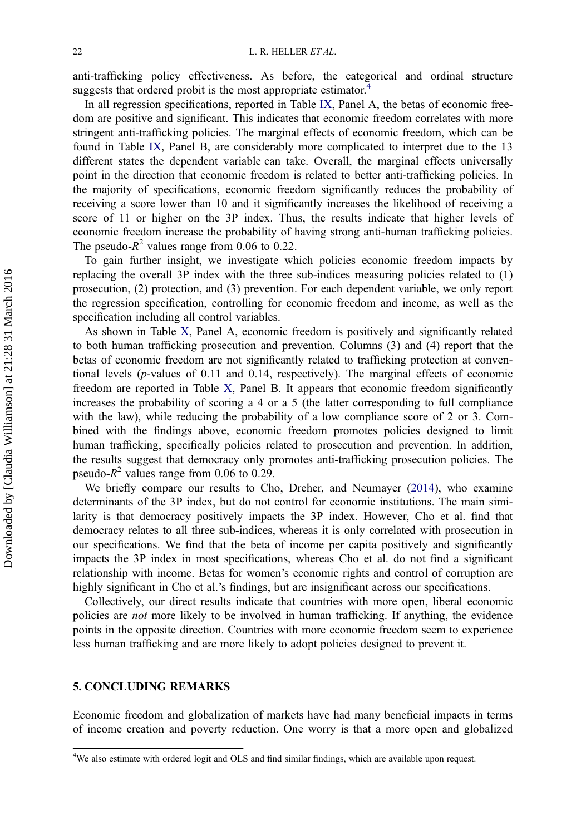anti-trafficking policy effectiveness. As before, the categorical and ordinal structure suggests that ordered probit is the most appropriate estimator.<sup>4</sup>

In all regression specifications, reported in Table IX, Panel A, the betas of economic freedom are positive and significant. This indicates that economic freedom correlates with more stringent anti-trafficking policies. The marginal effects of economic freedom, which can be found in Table IX, Panel B, are considerably more complicated to interpret due to the 13 different states the dependent variable can take. Overall, the marginal effects universally point in the direction that economic freedom is related to better anti-trafficking policies. In the majority of specifications, economic freedom significantly reduces the probability of receiving a score lower than 10 and it significantly increases the likelihood of receiving a score of 11 or higher on the 3P index. Thus, the results indicate that higher levels of economic freedom increase the probability of having strong anti-human trafficking policies. The pseudo- $R^2$  values range from 0.06 to 0.22.

To gain further insight, we investigate which policies economic freedom impacts by replacing the overall 3P index with the three sub-indices measuring policies related to (1) prosecution, (2) protection, and (3) prevention. For each dependent variable, we only report the regression specification, controlling for economic freedom and income, as well as the specification including all control variables.

As shown in Table X, Panel A, economic freedom is positively and significantly related to both human trafficking prosecution and prevention. Columns (3) and (4) report that the betas of economic freedom are not significantly related to trafficking protection at conventional levels ( $p$ -values of 0.11 and 0.14, respectively). The marginal effects of economic freedom are reported in Table X, Panel B. It appears that economic freedom significantly increases the probability of scoring a 4 or a 5 (the latter corresponding to full compliance with the law), while reducing the probability of a low compliance score of 2 or 3. Combined with the findings above, economic freedom promotes policies designed to limit human trafficking, specifically policies related to prosecution and prevention. In addition, the results suggest that democracy only promotes anti-trafficking prosecution policies. The pseudo- $R^2$  values range from 0.06 to 0.29.

We briefly compare our results to Cho, Dreher, and Neumayer (2014), who examine determinants of the 3P index, but do not control for economic institutions. The main similarity is that democracy positively impacts the 3P index. However, Cho et al. find that democracy relates to all three sub-indices, whereas it is only correlated with prosecution in our specifications. We find that the beta of income per capita positively and significantly impacts the 3P index in most specifications, whereas Cho et al. do not find a significant relationship with income. Betas for women's economic rights and control of corruption are highly significant in Cho et al.'s findings, but are insignificant across our specifications.

Collectively, our direct results indicate that countries with more open, liberal economic policies are not more likely to be involved in human trafficking. If anything, the evidence points in the opposite direction. Countries with more economic freedom seem to experience less human trafficking and are more likely to adopt policies designed to prevent it.

#### 5. CONCLUDING REMARKS

Economic freedom and globalization of markets have had many beneficial impacts in terms of income creation and poverty reduction. One worry is that a more open and globalized

<sup>&</sup>lt;sup>4</sup>We also estimate with ordered logit and OLS and find similar findings, which are available upon request.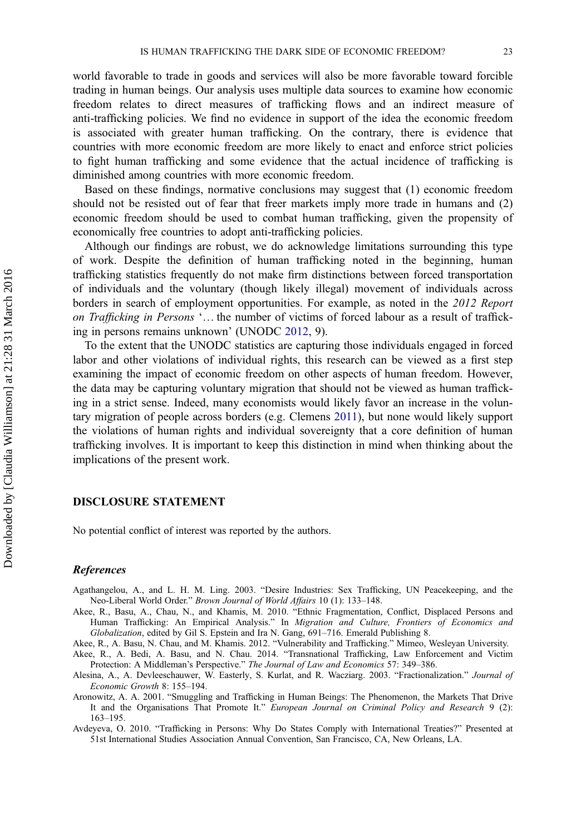world favorable to trade in goods and services will also be more favorable toward forcible trading in human beings. Our analysis uses multiple data sources to examine how economic freedom relates to direct measures of trafficking flows and an indirect measure of anti-trafficking policies. We find no evidence in support of the idea the economic freedom is associated with greater human trafficking. On the contrary, there is evidence that countries with more economic freedom are more likely to enact and enforce strict policies to fight human trafficking and some evidence that the actual incidence of trafficking is diminished among countries with more economic freedom.

Based on these findings, normative conclusions may suggest that (1) economic freedom should not be resisted out of fear that freer markets imply more trade in humans and (2) economic freedom should be used to combat human trafficking, given the propensity of economically free countries to adopt anti-trafficking policies.

Although our findings are robust, we do acknowledge limitations surrounding this type of work. Despite the definition of human trafficking noted in the beginning, human trafficking statistics frequently do not make firm distinctions between forced transportation of individuals and the voluntary (though likely illegal) movement of individuals across borders in search of employment opportunities. For example, as noted in the 2012 Report on Trafficking in Persons '… the number of victims of forced labour as a result of trafficking in persons remains unknown' (UNODC 2012, 9).

To the extent that the UNODC statistics are capturing those individuals engaged in forced labor and other violations of individual rights, this research can be viewed as a first step examining the impact of economic freedom on other aspects of human freedom. However, the data may be capturing voluntary migration that should not be viewed as human trafficking in a strict sense. Indeed, many economists would likely favor an increase in the voluntary migration of people across borders (e.g. Clemens 2011), but none would likely support the violations of human rights and individual sovereignty that a core definition of human trafficking involves. It is important to keep this distinction in mind when thinking about the implications of the present work.

#### DISCLOSURE STATEMENT

No potential conflict of interest was reported by the authors.

#### References

- Agathangelou, A., and L. H. M. Ling. 2003. "Desire Industries: Sex Trafficking, UN Peacekeeping, and the Neo-Liberal World Order." Brown Journal of World Affairs 10 (1): 133-148.
- Akee, R., Basu, A., Chau, N., and Khamis, M. 2010. "Ethnic Fragmentation, Conflict, Displaced Persons and Human Trafficking: An Empirical Analysis." In Migration and Culture, Frontiers of Economics and Globalization, edited by Gil S. Epstein and Ira N. Gang, 691-716. Emerald Publishing 8.

Akee, R., A. Basu, N. Chau, and M. Khamis. 2012. "Vulnerability and Trafficking." Mimeo, Wesleyan University.

Akee, R., A. Bedi, A. Basu, and N. Chau. 2014. "Transnational Trafficking, Law Enforcement and Victim Protection: A Middleman's Perspective." The Journal of Law and Economics 57: 349–386.

- Alesina, A., A. Devleeschauwer, W. Easterly, S. Kurlat, and R. Wacziarg. 2003. "Fractionalization." Journal of Economic Growth 8: 155–194.
- Aronowitz, A. A. 2001. "Smuggling and Trafficking in Human Beings: The Phenomenon, the Markets That Drive It and the Organisations That Promote It." European Journal on Criminal Policy and Research 9 (2): 163–195.

Avdeyeva, O. 2010. "Trafficking in Persons: Why Do States Comply with International Treaties?" Presented at 51st International Studies Association Annual Convention, San Francisco, CA, New Orleans, LA.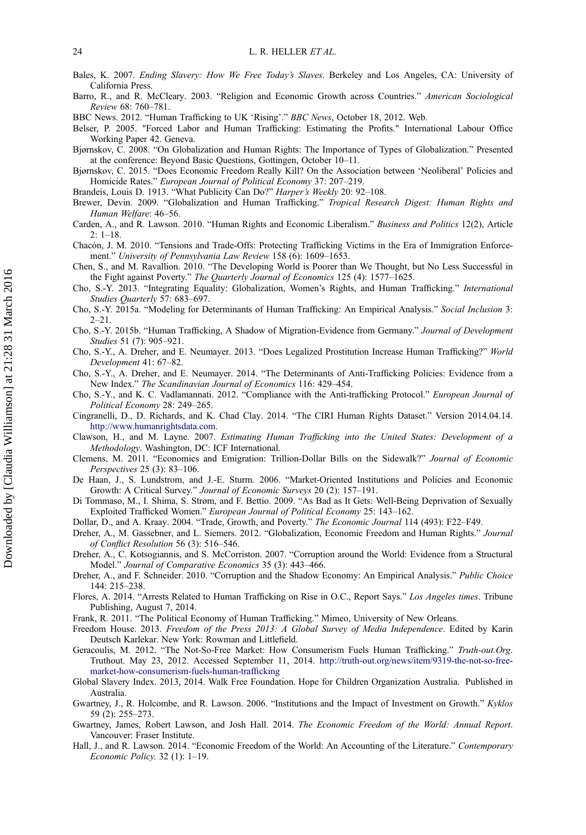- Bales, K. 2007. Ending Slavery: How We Free Today's Slaves. Berkeley and Los Angeles, CA: University of California Press.
- Barro, R., and R. McCleary. 2003. "Religion and Economic Growth across Countries." American Sociological Review 68: 760–781.
- BBC News. 2012. "Human Trafficking to UK 'Rising'." BBC News, October 18, 2012. Web.
- Belser, P. 2005. "Forced Labor and Human Trafficking: Estimating the Profits." International Labour Office Working Paper 42. Geneva.
- Bjørnskov, C. 2008. "On Globalization and Human Rights: The Importance of Types of Globalization." Presented at the conference: Beyond Basic Questions, Gottingen, October 10–11.
- Bjørnskov, C. 2015. "Does Economic Freedom Really Kill? On the Association between 'Neoliberal' Policies and Homicide Rates." European Journal of Political Economy 37: 207–219.
- Brandeis, Louis D. 1913. "What Publicity Can Do?" Harper's Weekly 20: 92-108.
- Brewer, Devin. 2009. "Globalization and Human Trafficking." Tropical Research Digest: Human Rights and Human Welfare: 46–56.
- Carden, A., and R. Lawson. 2010. "Human Rights and Economic Liberalism." Business and Politics 12(2), Article  $2: 1-18.$
- Chacón, J. M. 2010. "Tensions and Trade-Offs: Protecting Trafficking Victims in the Era of Immigration Enforcement." University of Pennsylvania Law Review 158 (6): 1609–1653.
- Chen, S., and M. Ravallion. 2010. "The Developing World is Poorer than We Thought, but No Less Successful in the Fight against Poverty." The Quarterly Journal of Economics 125 (4): 1577–1625.
- Cho, S.-Y. 2013. "Integrating Equality: Globalization, Women's Rights, and Human Trafficking." International Studies Quarterly 57: 683-697.
- Cho, S.-Y. 2015a. "Modeling for Determinants of Human Trafficking: An Empirical Analysis." Social Inclusion 3: 2–21.
- Cho, S.-Y. 2015b. "Human Trafficking, A Shadow of Migration-Evidence from Germany." Journal of Development Studies 51 (7): 905–921.
- Cho, S.-Y., A. Dreher, and E. Neumayer. 2013. "Does Legalized Prostitution Increase Human Trafficking?" World Development 41: 67–82.
- Cho, S.-Y., A. Dreher, and E. Neumayer. 2014. "The Determinants of Anti-Trafficking Policies: Evidence from a New Index." The Scandinavian Journal of Economics 116: 429–454.
- Cho, S.-Y., and K. C. Vadlamannati. 2012. "Compliance with the Anti-trafficking Protocol." European Journal of Political Economy 28: 249–265.
- Cingranelli, D., D. Richards, and K. Chad Clay. 2014. "The CIRI Human Rights Dataset." Version 2014.04.14. http://www.humanrightsdata.com.
- Clawson, H., and M. Layne. 2007. Estimating Human Trafficking into the United States: Development of a Methodology. Washington, DC: ICF International.
- Clemens, M. 2011. "Economics and Emigration: Trillion-Dollar Bills on the Sidewalk?" Journal of Economic Perspectives 25 (3): 83–106.
- De Haan, J., S. Lundstrom, and J.-E. Sturm. 2006. "Market-Oriented Institutions and Policies and Economic Growth: A Critical Survey." Journal of Economic Surveys 20 (2): 157–191.
- Di Tommaso, M., I. Shima, S. Strøm, and F. Bettio. 2009. "As Bad as It Gets: Well-Being Deprivation of Sexually Exploited Trafficked Women." European Journal of Political Economy 25: 143–162.
- Dollar, D., and A. Kraay. 2004. "Trade, Growth, and Poverty." The Economic Journal 114 (493): F22–F49.
- Dreher, A., M. Gassebner, and L. Siemers. 2012. "Globalization, Economic Freedom and Human Rights." Journal of Conflict Resolution 56 (3): 516–546.
- Dreher, A., C. Kotsogiannis, and S. McCorriston. 2007. "Corruption around the World: Evidence from a Structural Model." Journal of Comparative Economics 35 (3): 443–466.
- Dreher, A., and F. Schneider. 2010. "Corruption and the Shadow Economy: An Empirical Analysis." Public Choice 144: 215–238.
- Flores, A. 2014. "Arrests Related to Human Trafficking on Rise in O.C., Report Says." Los Angeles times. Tribune Publishing, August 7, 2014.
- Frank, R. 2011. "The Political Economy of Human Trafficking." Mimeo, University of New Orleans.
- Freedom House. 2013. Freedom of the Press 2013: A Global Survey of Media Independence. Edited by Karin Deutsch Karlekar. New York: Rowman and Littlefield.
- Geracoulis, M. 2012. "The Not-So-Free Market: How Consumerism Fuels Human Trafficking." Truth-out.Org. Truthout. May 23, 2012. Accessed September 11, 2014. http://truth-out.org/news/item/9319-the-not-so-freemarket-how-consumerism-fuels-human-trafficking
- Global Slavery Index. 2013, 2014. Walk Free Foundation. Hope for Children Organization Australia. Published in Australia.
- Gwartney, J., R. Holcombe, and R. Lawson. 2006. "Institutions and the Impact of Investment on Growth." Kyklos 59 (2): 255–273.
- Gwartney, James, Robert Lawson, and Josh Hall. 2014. The Economic Freedom of the World: Annual Report. Vancouver: Fraser Institute.
- Hall, J., and R. Lawson. 2014. "Economic Freedom of the World: An Accounting of the Literature." Contemporary Economic Policy. 32 (1): 1–19.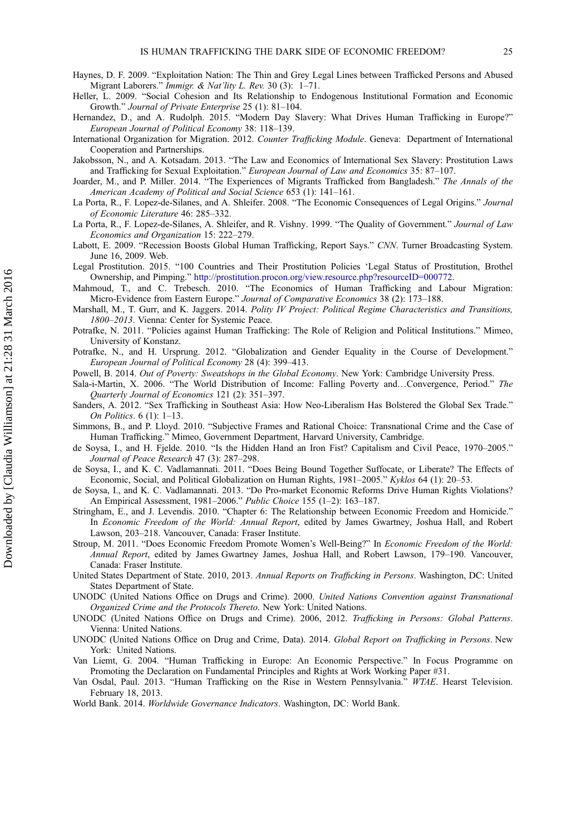- Haynes, D. F. 2009. "Exploitation Nation: The Thin and Grey Legal Lines between Trafficked Persons and Abused Migrant Laborers." Immigr. & Nat'lity L. Rev. 30 (3): 1–71.
- Heller, L. 2009. "Social Cohesion and Its Relationship to Endogenous Institutional Formation and Economic Growth." Journal of Private Enterprise 25 (1): 81–104.
- Hernandez, D., and A. Rudolph. 2015. "Modern Day Slavery: What Drives Human Trafficking in Europe?" European Journal of Political Economy 38: 118–139.
- International Organization for Migration. 2012. Counter Trafficking Module. Geneva: Department of International Cooperation and Partnerships.
- Jakobsson, N., and A. Kotsadam. 2013. "The Law and Economics of International Sex Slavery: Prostitution Laws and Trafficking for Sexual Exploitation." European Journal of Law and Economics 35: 87–107.
- Joarder, M., and P. Miller. 2014. "The Experiences of Migrants Trafficked from Bangladesh." The Annals of the American Academy of Political and Social Science 653 (1): 141–161.
- La Porta, R., F. Lopez-de-Silanes, and A. Shleifer. 2008. "The Economic Consequences of Legal Origins." Journal of Economic Literature 46: 285–332.
- La Porta, R., F. Lopez-de-Silanes, A. Shleifer, and R. Vishny. 1999. "The Quality of Government." Journal of Law Economics and Organization 15: 222–279.
- Labott, E. 2009. "Recession Boosts Global Human Trafficking, Report Says." CNN. Turner Broadcasting System. June 16, 2009. Web.
- Legal Prostitution. 2015. "100 Countries and Their Prostitution Policies 'Legal Status of Prostitution, Brothel Ownership, and Pimping." http://prostitution.procon.org/view.resource.php?resourceID=000772.
- Mahmoud, T., and C. Trebesch. 2010. "The Economics of Human Trafficking and Labour Migration: Micro-Evidence from Eastern Europe." Journal of Comparative Economics 38 (2): 173–188.
- Marshall, M., T. Gurr, and K. Jaggers. 2014. Polity IV Project: Political Regime Characteristics and Transitions, 1800–2013. Vienna: Center for Systemic Peace.
- Potrafke, N. 2011. "Policies against Human Trafficking: The Role of Religion and Political Institutions." Mimeo, University of Konstanz.
- Potrafke, N., and H. Ursprung. 2012. "Globalization and Gender Equality in the Course of Development." European Journal of Political Economy 28 (4): 399–413.
- Powell, B. 2014. Out of Poverty: Sweatshops in the Global Economy. New York: Cambridge University Press.
- Sala-i-Martin, X. 2006. "The World Distribution of Income: Falling Poverty and…Convergence, Period." The Quarterly Journal of Economics 121 (2): 351–397.
- Sanders, A. 2012. "Sex Trafficking in Southeast Asia: How Neo-Liberalism Has Bolstered the Global Sex Trade." On Politics. 6 (1): 1–13.
- Simmons, B., and P. Lloyd. 2010. "Subjective Frames and Rational Choice: Transnational Crime and the Case of Human Trafficking." Mimeo, Government Department, Harvard University, Cambridge.
- de Soysa, I., and H. Fjelde. 2010. "Is the Hidden Hand an Iron Fist? Capitalism and Civil Peace, 1970–2005." Journal of Peace Research 47 (3): 287–298.
- de Soysa, I., and K. C. Vadlamannati. 2011. "Does Being Bound Together Suffocate, or Liberate? The Effects of Economic, Social, and Political Globalization on Human Rights, 1981–2005." Kyklos 64 (1): 20–53.
- de Soysa, I., and K. C. Vadlamannati. 2013. "Do Pro-market Economic Reforms Drive Human Rights Violations? An Empirical Assessment, 1981–2006." Public Choice 155 (1–2): 163–187.
- Stringham, E., and J. Levendis. 2010. "Chapter 6: The Relationship between Economic Freedom and Homicide." In Economic Freedom of the World: Annual Report, edited by James Gwartney, Joshua Hall, and Robert Lawson, 203–218. Vancouver, Canada: Fraser Institute.
- Stroup, M. 2011. "Does Economic Freedom Promote Women's Well-Being?" In Economic Freedom of the World: Annual Report, edited by James Gwartney James, Joshua Hall, and Robert Lawson, 179–190. Vancouver, Canada: Fraser Institute.
- United States Department of State. 2010, 2013. Annual Reports on Trafficking in Persons. Washington, DC: United States Department of State.
- UNODC (United Nations Office on Drugs and Crime). 2000. United Nations Convention against Transnational Organized Crime and the Protocols Thereto. New York: United Nations.
- UNODC (United Nations Office on Drugs and Crime). 2006, 2012. Trafficking in Persons: Global Patterns. Vienna: United Nations.
- UNODC (United Nations Office on Drug and Crime, Data). 2014. Global Report on Trafficking in Persons. New York: United Nations.
- Van Liemt, G. 2004. "Human Trafficking in Europe: An Economic Perspective." In Focus Programme on Promoting the Declaration on Fundamental Principles and Rights at Work Working Paper #31.
- Van Osdal, Paul. 2013. "Human Trafficking on the Rise in Western Pennsylvania." WTAE. Hearst Television. February 18, 2013.
- World Bank. 2014. Worldwide Governance Indicators. Washington, DC: World Bank.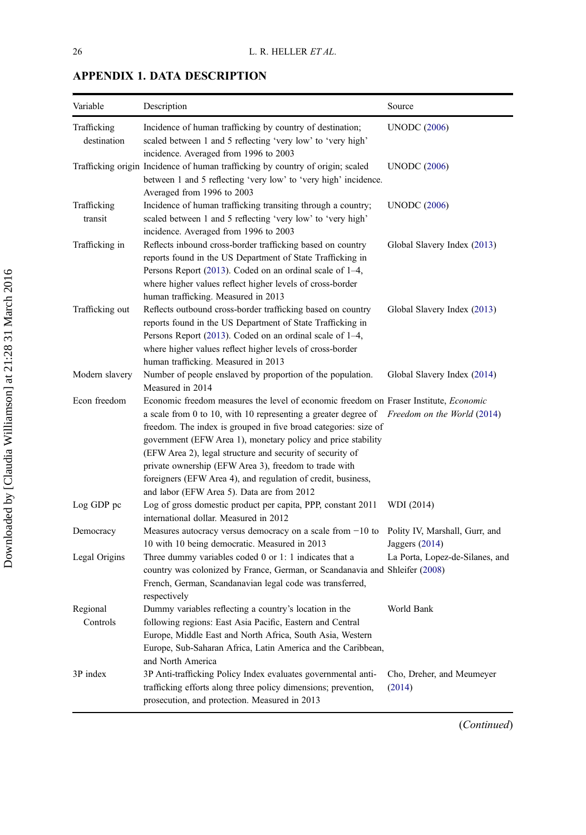| Variable                   | Description                                                                                                                                                                                                                                                                                                                                                                                                                                                                                                                                                       | Source                                             |
|----------------------------|-------------------------------------------------------------------------------------------------------------------------------------------------------------------------------------------------------------------------------------------------------------------------------------------------------------------------------------------------------------------------------------------------------------------------------------------------------------------------------------------------------------------------------------------------------------------|----------------------------------------------------|
| Trafficking<br>destination | Incidence of human trafficking by country of destination;<br>scaled between 1 and 5 reflecting 'very low' to 'very high'<br>incidence. Averaged from 1996 to 2003                                                                                                                                                                                                                                                                                                                                                                                                 | <b>UNODC</b> (2006)                                |
|                            | Trafficking origin Incidence of human trafficking by country of origin; scaled<br>between 1 and 5 reflecting 'very low' to 'very high' incidence.<br>Averaged from 1996 to 2003                                                                                                                                                                                                                                                                                                                                                                                   | <b>UNODC</b> (2006)                                |
| Trafficking<br>transit     | Incidence of human trafficking transiting through a country;<br>scaled between 1 and 5 reflecting 'very low' to 'very high'<br>incidence. Averaged from 1996 to 2003                                                                                                                                                                                                                                                                                                                                                                                              | <b>UNODC</b> (2006)                                |
| Trafficking in             | Reflects inbound cross-border trafficking based on country<br>reports found in the US Department of State Trafficking in<br>Persons Report (2013). Coded on an ordinal scale of 1–4,<br>where higher values reflect higher levels of cross-border<br>human trafficking. Measured in 2013                                                                                                                                                                                                                                                                          | Global Slavery Index (2013)                        |
| Trafficking out            | Reflects outbound cross-border trafficking based on country<br>reports found in the US Department of State Trafficking in<br>Persons Report (2013). Coded on an ordinal scale of 1–4,<br>where higher values reflect higher levels of cross-border<br>human trafficking. Measured in 2013                                                                                                                                                                                                                                                                         | Global Slavery Index (2013)                        |
| Modern slavery             | Number of people enslaved by proportion of the population.<br>Measured in 2014                                                                                                                                                                                                                                                                                                                                                                                                                                                                                    | Global Slavery Index (2014)                        |
| Econ freedom               | Economic freedom measures the level of economic freedom on Fraser Institute, <i>Economic</i><br>a scale from 0 to 10, with 10 representing a greater degree of Freedom on the World (2014)<br>freedom. The index is grouped in five broad categories: size of<br>government (EFW Area 1), monetary policy and price stability<br>(EFW Area 2), legal structure and security of security of<br>private ownership (EFW Area 3), freedom to trade with<br>foreigners (EFW Area 4), and regulation of credit, business,<br>and labor (EFW Area 5). Data are from 2012 |                                                    |
| Log GDP pc                 | Log of gross domestic product per capita, PPP, constant 2011<br>international dollar. Measured in 2012                                                                                                                                                                                                                                                                                                                                                                                                                                                            | WDI (2014)                                         |
| Democracy                  | Measures autocracy versus democracy on a scale from $-10$ to<br>10 with 10 being democratic. Measured in 2013                                                                                                                                                                                                                                                                                                                                                                                                                                                     | Polity IV, Marshall, Gurr, and<br>Jaggers $(2014)$ |
| Legal Origins              | Three dummy variables coded 0 or 1: 1 indicates that a<br>country was colonized by France, German, or Scandanavia and Shleifer (2008)<br>French, German, Scandanavian legal code was transferred,<br>respectively                                                                                                                                                                                                                                                                                                                                                 | La Porta, Lopez-de-Silanes, and                    |
| Regional<br>Controls       | Dummy variables reflecting a country's location in the<br>following regions: East Asia Pacific, Eastern and Central<br>Europe, Middle East and North Africa, South Asia, Western<br>Europe, Sub-Saharan Africa, Latin America and the Caribbean,<br>and North America                                                                                                                                                                                                                                                                                             | World Bank                                         |
| 3P index                   | 3P Anti-trafficking Policy Index evaluates governmental anti-<br>trafficking efforts along three policy dimensions; prevention,<br>prosecution, and protection. Measured in 2013                                                                                                                                                                                                                                                                                                                                                                                  | Cho, Dreher, and Meumeyer<br>(2014)                |

### APPENDIX 1. DATA DESCRIPTION

Downloaded by [Claudia Williamson] at 21:28 31 March 2016 Downloaded by [Claudia Williamson] at 21:28 31 March 2016

(Continued)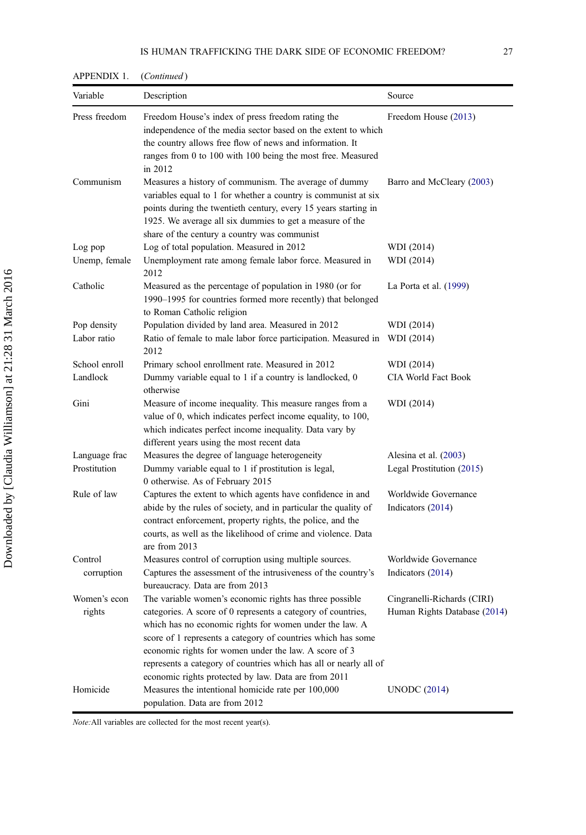| Variable      | Description                                                                                                                                                                                                                                                                                                                                                                   | Source                       |
|---------------|-------------------------------------------------------------------------------------------------------------------------------------------------------------------------------------------------------------------------------------------------------------------------------------------------------------------------------------------------------------------------------|------------------------------|
| Press freedom | Freedom House's index of press freedom rating the<br>independence of the media sector based on the extent to which<br>the country allows free flow of news and information. It<br>ranges from 0 to 100 with 100 being the most free. Measured<br>in 2012                                                                                                                      | Freedom House (2013)         |
| Communism     | Measures a history of communism. The average of dummy<br>variables equal to 1 for whether a country is communist at six<br>points during the twentieth century, every 15 years starting in<br>1925. We average all six dummies to get a measure of the<br>share of the century a country was communist                                                                        | Barro and McCleary (2003)    |
| Log pop       | Log of total population. Measured in 2012                                                                                                                                                                                                                                                                                                                                     | WDI (2014)                   |
| Unemp, female | Unemployment rate among female labor force. Measured in<br>2012                                                                                                                                                                                                                                                                                                               | WDI (2014)                   |
| Catholic      | Measured as the percentage of population in 1980 (or for<br>1990–1995 for countries formed more recently) that belonged<br>to Roman Catholic religion                                                                                                                                                                                                                         | La Porta et al. $(1999)$     |
| Pop density   | Population divided by land area. Measured in 2012                                                                                                                                                                                                                                                                                                                             | WDI (2014)                   |
| Labor ratio   | Ratio of female to male labor force participation. Measured in<br>2012                                                                                                                                                                                                                                                                                                        | WDI (2014)                   |
| School enroll | Primary school enrollment rate. Measured in 2012                                                                                                                                                                                                                                                                                                                              | WDI (2014)                   |
| Landlock      | Dummy variable equal to 1 if a country is landlocked, 0<br>otherwise                                                                                                                                                                                                                                                                                                          | <b>CIA World Fact Book</b>   |
| Gini          | Measure of income inequality. This measure ranges from a<br>value of 0, which indicates perfect income equality, to 100,<br>which indicates perfect income inequality. Data vary by<br>different years using the most recent data                                                                                                                                             | WDI (2014)                   |
| Language frac | Measures the degree of language heterogeneity                                                                                                                                                                                                                                                                                                                                 | Alesina et al. (2003)        |
| Prostitution  | Dummy variable equal to 1 if prostitution is legal,<br>0 otherwise. As of February 2015                                                                                                                                                                                                                                                                                       | Legal Prostitution (2015)    |
| Rule of law   | Captures the extent to which agents have confidence in and                                                                                                                                                                                                                                                                                                                    | Worldwide Governance         |
|               | abide by the rules of society, and in particular the quality of<br>contract enforcement, property rights, the police, and the<br>courts, as well as the likelihood of crime and violence. Data<br>are from 2013                                                                                                                                                               | Indicators (2014)            |
| Control       | Measures control of corruption using multiple sources.                                                                                                                                                                                                                                                                                                                        | Worldwide Governance         |
| corruption    | Captures the assessment of the intrusiveness of the country's<br>bureaucracy. Data are from 2013                                                                                                                                                                                                                                                                              | Indicators (2014)            |
| Women's econ  | The variable women's economic rights has three possible                                                                                                                                                                                                                                                                                                                       | Cingranelli-Richards (CIRI)  |
| rights        | categories. A score of 0 represents a category of countries,<br>which has no economic rights for women under the law. A<br>score of 1 represents a category of countries which has some<br>economic rights for women under the law. A score of 3<br>represents a category of countries which has all or nearly all of<br>economic rights protected by law. Data are from 2011 | Human Rights Database (2014) |
| Homicide      | Measures the intentional homicide rate per 100,000<br>population. Data are from 2012                                                                                                                                                                                                                                                                                          | <b>UNODC</b> (2014)          |

APPENDIX 1. (Continued)

Note:All variables are collected for the most recent year(s).